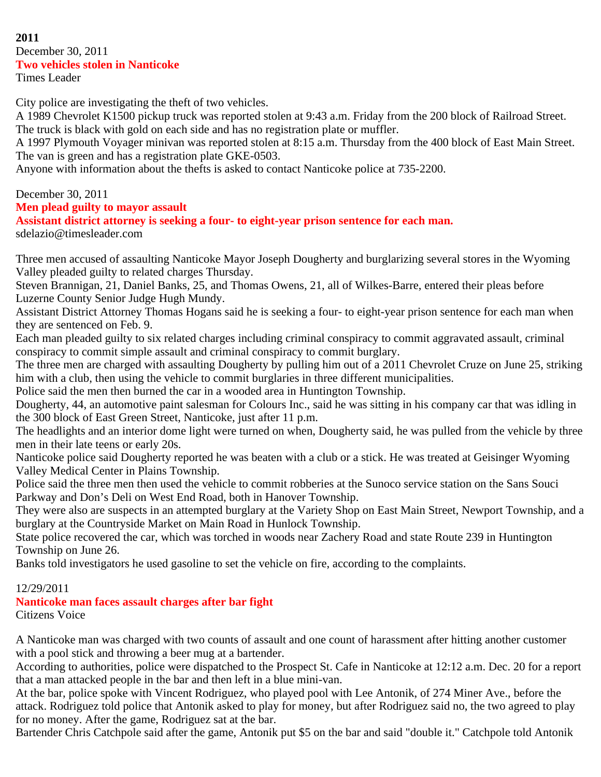#### **2011** December 30, 2011 **Two vehicles stolen in Nanticoke** Times Leader

City police are investigating the theft of two vehicles.

A 1989 Chevrolet K1500 pickup truck was reported stolen at 9:43 a.m. Friday from the 200 block of Railroad Street. The truck is black with gold on each side and has no registration plate or muffler.

A 1997 Plymouth Voyager minivan was reported stolen at 8:15 a.m. Thursday from the 400 block of East Main Street. The van is green and has a registration plate GKE-0503.

Anyone with information about the thefts is asked to contact Nanticoke police at 735-2200.

#### December 30, 2011 **Men plead guilty to mayor assault Assistant district attorney is seeking a four- to eight-year prison sentence for each man.** sdelazio@timesleader.com

Three men accused of assaulting Nanticoke Mayor Joseph Dougherty and burglarizing several stores in the Wyoming Valley pleaded guilty to related charges Thursday.

Steven Brannigan, 21, Daniel Banks, 25, and Thomas Owens, 21, all of Wilkes-Barre, entered their pleas before Luzerne County Senior Judge Hugh Mundy.

Assistant District Attorney Thomas Hogans said he is seeking a four- to eight-year prison sentence for each man when they are sentenced on Feb. 9.

Each man pleaded guilty to six related charges including criminal conspiracy to commit aggravated assault, criminal conspiracy to commit simple assault and criminal conspiracy to commit burglary.

The three men are charged with assaulting Dougherty by pulling him out of a 2011 Chevrolet Cruze on June 25, striking him with a club, then using the vehicle to commit burglaries in three different municipalities.

Police said the men then burned the car in a wooded area in Huntington Township.

Dougherty, 44, an automotive paint salesman for Colours Inc., said he was sitting in his company car that was idling in the 300 block of East Green Street, Nanticoke, just after 11 p.m.

The headlights and an interior dome light were turned on when, Dougherty said, he was pulled from the vehicle by three men in their late teens or early 20s.

Nanticoke police said Dougherty reported he was beaten with a club or a stick. He was treated at Geisinger Wyoming Valley Medical Center in Plains Township.

Police said the three men then used the vehicle to commit robberies at the Sunoco service station on the Sans Souci Parkway and Don's Deli on West End Road, both in Hanover Township.

They were also are suspects in an attempted burglary at the Variety Shop on East Main Street, Newport Township, and a burglary at the Countryside Market on Main Road in Hunlock Township.

State police recovered the car, which was torched in woods near Zachery Road and state Route 239 in Huntington Township on June 26.

Banks told investigators he used gasoline to set the vehicle on fire, according to the complaints.

### 12/29/2011

### **Nanticoke man faces assault charges after bar fight**

Citizens Voice

A Nanticoke man was charged with two counts of assault and one count of harassment after hitting another customer with a pool stick and throwing a beer mug at a bartender.

According to authorities, police were dispatched to the Prospect St. Cafe in Nanticoke at 12:12 a.m. Dec. 20 for a report that a man attacked people in the bar and then left in a blue mini-van.

At the bar, police spoke with Vincent Rodriguez, who played pool with Lee Antonik, of 274 Miner Ave., before the attack. Rodriguez told police that Antonik asked to play for money, but after Rodriguez said no, the two agreed to play for no money. After the game, Rodriguez sat at the bar.

Bartender Chris Catchpole said after the game, Antonik put \$5 on the bar and said "double it." Catchpole told Antonik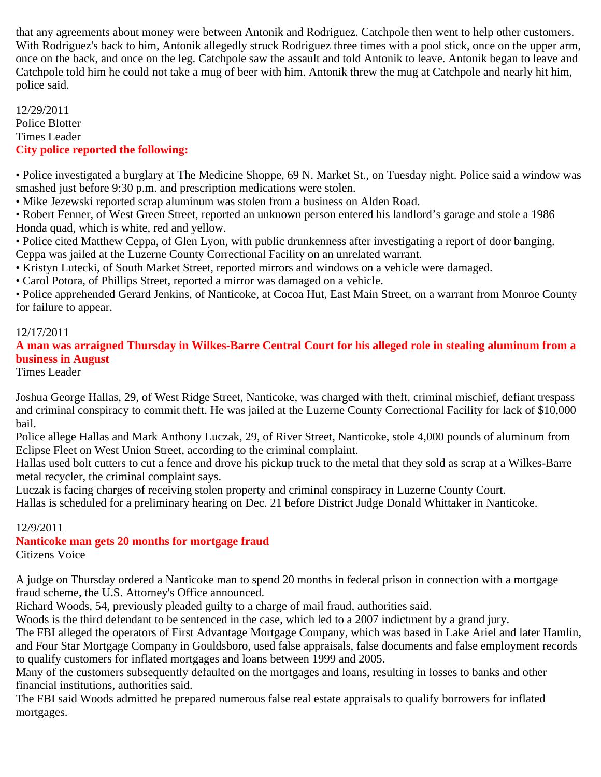that any agreements about money were between Antonik and Rodriguez. Catchpole then went to help other customers. With Rodriguez's back to him, Antonik allegedly struck Rodriguez three times with a pool stick, once on the upper arm, once on the back, and once on the leg. Catchpole saw the assault and told Antonik to leave. Antonik began to leave and Catchpole told him he could not take a mug of beer with him. Antonik threw the mug at Catchpole and nearly hit him, police said.

12/29/2011 Police Blotter Times Leader **City police reported the following:**

• Police investigated a burglary at The Medicine Shoppe, 69 N. Market St., on Tuesday night. Police said a window was smashed just before 9:30 p.m. and prescription medications were stolen.

• Mike Jezewski reported scrap aluminum was stolen from a business on Alden Road.

• Robert Fenner, of West Green Street, reported an unknown person entered his landlord's garage and stole a 1986 Honda quad, which is white, red and yellow.

• Police cited Matthew Ceppa, of Glen Lyon, with public drunkenness after investigating a report of door banging. Ceppa was jailed at the Luzerne County Correctional Facility on an unrelated warrant.

• Kristyn Lutecki, of South Market Street, reported mirrors and windows on a vehicle were damaged.

• Carol Potora, of Phillips Street, reported a mirror was damaged on a vehicle.

• Police apprehended Gerard Jenkins, of Nanticoke, at Cocoa Hut, East Main Street, on a warrant from Monroe County for failure to appear.

## 12/17/2011

## **A man was arraigned Thursday in Wilkes-Barre Central Court for his alleged role in stealing aluminum from a business in August**

Times Leader

Joshua George Hallas, 29, of West Ridge Street, Nanticoke, was charged with theft, criminal mischief, defiant trespass and criminal conspiracy to commit theft. He was jailed at the Luzerne County Correctional Facility for lack of \$10,000 bail.

Police allege Hallas and Mark Anthony Luczak, 29, of River Street, Nanticoke, stole 4,000 pounds of aluminum from Eclipse Fleet on West Union Street, according to the criminal complaint.

Hallas used bolt cutters to cut a fence and drove his pickup truck to the metal that they sold as scrap at a Wilkes-Barre metal recycler, the criminal complaint says.

Luczak is facing charges of receiving stolen property and criminal conspiracy in Luzerne County Court.

Hallas is scheduled for a preliminary hearing on Dec. 21 before District Judge Donald Whittaker in Nanticoke.

### 12/9/2011

**Nanticoke man gets 20 months for mortgage fraud** Citizens Voice

A judge on Thursday ordered a Nanticoke man to spend 20 months in federal prison in connection with a mortgage fraud scheme, the U.S. Attorney's Office announced.

Richard Woods, 54, previously pleaded guilty to a charge of mail fraud, authorities said.

Woods is the third defendant to be sentenced in the case, which led to a 2007 indictment by a grand jury.

The FBI alleged the operators of First Advantage Mortgage Company, which was based in Lake Ariel and later Hamlin, and Four Star Mortgage Company in Gouldsboro, used false appraisals, false documents and false employment records to qualify customers for inflated mortgages and loans between 1999 and 2005.

Many of the customers subsequently defaulted on the mortgages and loans, resulting in losses to banks and other financial institutions, authorities said.

The FBI said Woods admitted he prepared numerous false real estate appraisals to qualify borrowers for inflated mortgages.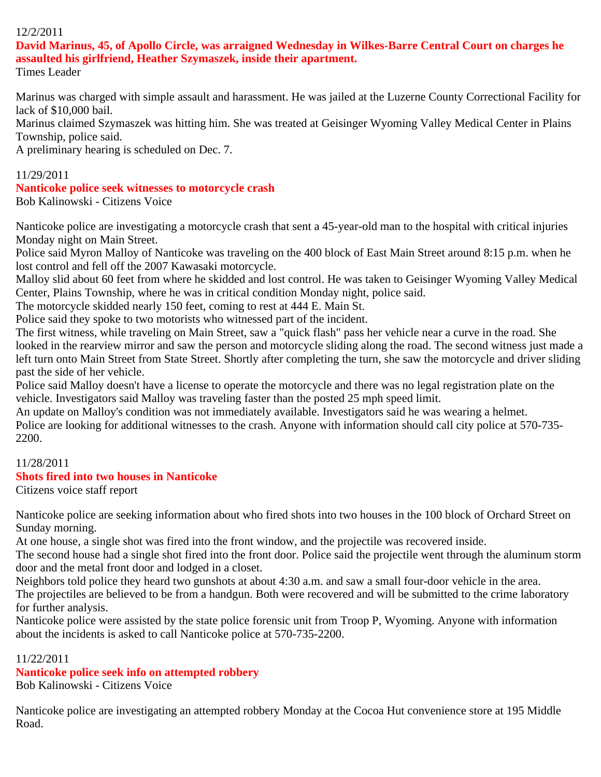## 12/2/2011

## **David Marinus, 45, of Apollo Circle, was arraigned Wednesday in Wilkes-Barre Central Court on charges he assaulted his girlfriend, Heather Szymaszek, inside their apartment.**

Times Leader

Marinus was charged with simple assault and harassment. He was jailed at the Luzerne County Correctional Facility for lack of \$10,000 bail.

Marinus claimed Szymaszek was hitting him. She was treated at Geisinger Wyoming Valley Medical Center in Plains Township, police said.

A preliminary hearing is scheduled on Dec. 7.

## 11/29/2011

#### **Nanticoke police seek witnesses to motorcycle crash** Bob Kalinowski - Citizens Voice

Nanticoke police are investigating a motorcycle crash that sent a 45-year-old man to the hospital with critical injuries Monday night on Main Street.

Police said Myron Malloy of Nanticoke was traveling on the 400 block of East Main Street around 8:15 p.m. when he lost control and fell off the 2007 Kawasaki motorcycle.

Malloy slid about 60 feet from where he skidded and lost control. He was taken to Geisinger Wyoming Valley Medical Center, Plains Township, where he was in critical condition Monday night, police said.

The motorcycle skidded nearly 150 feet, coming to rest at 444 E. Main St.

Police said they spoke to two motorists who witnessed part of the incident.

The first witness, while traveling on Main Street, saw a "quick flash" pass her vehicle near a curve in the road. She looked in the rearview mirror and saw the person and motorcycle sliding along the road. The second witness just made a left turn onto Main Street from State Street. Shortly after completing the turn, she saw the motorcycle and driver sliding past the side of her vehicle.

Police said Malloy doesn't have a license to operate the motorcycle and there was no legal registration plate on the vehicle. Investigators said Malloy was traveling faster than the posted 25 mph speed limit.

An update on Malloy's condition was not immediately available. Investigators said he was wearing a helmet. Police are looking for additional witnesses to the crash. Anyone with information should call city police at 570-735- 2200.

## 11/28/2011

## **Shots fired into two houses in Nanticoke**

Citizens voice staff report

Nanticoke police are seeking information about who fired shots into two houses in the 100 block of Orchard Street on Sunday morning.

At one house, a single shot was fired into the front window, and the projectile was recovered inside.

The second house had a single shot fired into the front door. Police said the projectile went through the aluminum storm door and the metal front door and lodged in a closet.

Neighbors told police they heard two gunshots at about 4:30 a.m. and saw a small four-door vehicle in the area. The projectiles are believed to be from a handgun. Both were recovered and will be submitted to the crime laboratory for further analysis.

Nanticoke police were assisted by the state police forensic unit from Troop P, Wyoming. Anyone with information about the incidents is asked to call Nanticoke police at 570-735-2200.

#### 11/22/2011

### **Nanticoke police seek info on attempted robbery**

Bob Kalinowski - Citizens Voice

Nanticoke police are investigating an attempted robbery Monday at the Cocoa Hut convenience store at 195 Middle Road.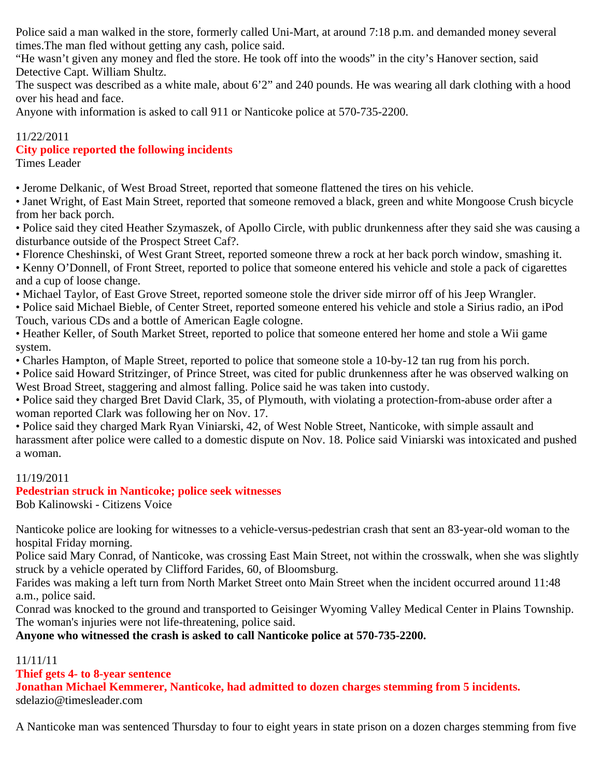Police said a man walked in the store, formerly called Uni-Mart, at around 7:18 p.m. and demanded money several times.The man fled without getting any cash, police said.

"He wasn't given any money and fled the store. He took off into the woods" in the city's Hanover section, said Detective Capt. William Shultz.

The suspect was described as a white male, about 6'2" and 240 pounds. He was wearing all dark clothing with a hood over his head and face.

Anyone with information is asked to call 911 or Nanticoke police at 570-735-2200.

## 11/22/2011

## **City police reported the following incidents**

Times Leader

• Jerome Delkanic, of West Broad Street, reported that someone flattened the tires on his vehicle.

• Janet Wright, of East Main Street, reported that someone removed a black, green and white Mongoose Crush bicycle from her back porch.

• Police said they cited Heather Szymaszek, of Apollo Circle, with public drunkenness after they said she was causing a disturbance outside of the Prospect Street Caf?.

• Florence Cheshinski, of West Grant Street, reported someone threw a rock at her back porch window, smashing it.

• Kenny O'Donnell, of Front Street, reported to police that someone entered his vehicle and stole a pack of cigarettes and a cup of loose change.

• Michael Taylor, of East Grove Street, reported someone stole the driver side mirror off of his Jeep Wrangler.

• Police said Michael Bieble, of Center Street, reported someone entered his vehicle and stole a Sirius radio, an iPod Touch, various CDs and a bottle of American Eagle cologne.

• Heather Keller, of South Market Street, reported to police that someone entered her home and stole a Wii game system.

• Charles Hampton, of Maple Street, reported to police that someone stole a 10-by-12 tan rug from his porch.

• Police said Howard Stritzinger, of Prince Street, was cited for public drunkenness after he was observed walking on West Broad Street, staggering and almost falling. Police said he was taken into custody.

• Police said they charged Bret David Clark, 35, of Plymouth, with violating a protection-from-abuse order after a woman reported Clark was following her on Nov. 17.

• Police said they charged Mark Ryan Viniarski, 42, of West Noble Street, Nanticoke, with simple assault and harassment after police were called to a domestic dispute on Nov. 18. Police said Viniarski was intoxicated and pushed a woman.

## 11/19/2011

## **Pedestrian struck in Nanticoke; police seek witnesses**

Bob Kalinowski - Citizens Voice

Nanticoke police are looking for witnesses to a vehicle-versus-pedestrian crash that sent an 83-year-old woman to the hospital Friday morning.

Police said Mary Conrad, of Nanticoke, was crossing East Main Street, not within the crosswalk, when she was slightly struck by a vehicle operated by Clifford Farides, 60, of Bloomsburg.

Farides was making a left turn from North Market Street onto Main Street when the incident occurred around 11:48 a.m., police said.

Conrad was knocked to the ground and transported to Geisinger Wyoming Valley Medical Center in Plains Township. The woman's injuries were not life-threatening, police said.

**Anyone who witnessed the crash is asked to call Nanticoke police at 570-735-2200.**

## 11/11/11

## **Thief gets 4- to 8-year sentence**

**Jonathan Michael Kemmerer, Nanticoke, had admitted to dozen charges stemming from 5 incidents.** sdelazio@timesleader.com

A Nanticoke man was sentenced Thursday to four to eight years in state prison on a dozen charges stemming from five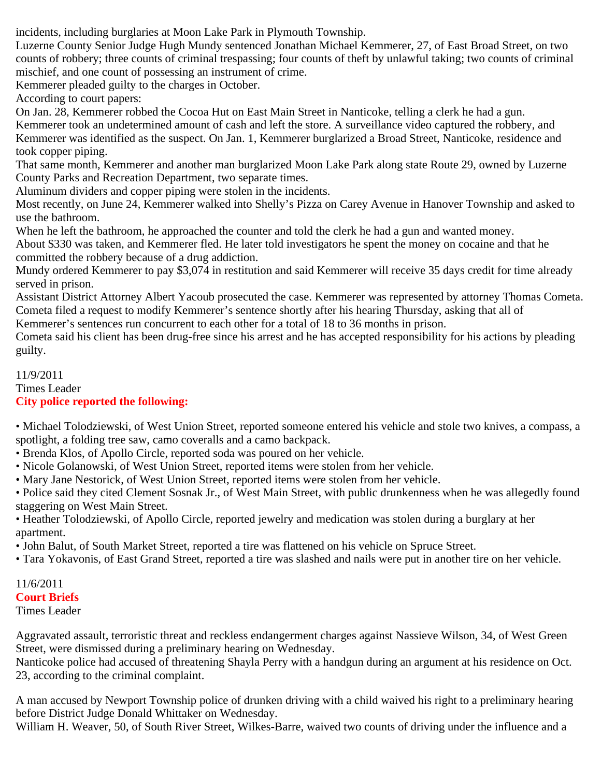incidents, including burglaries at Moon Lake Park in Plymouth Township.

Luzerne County Senior Judge Hugh Mundy sentenced Jonathan Michael Kemmerer, 27, of East Broad Street, on two counts of robbery; three counts of criminal trespassing; four counts of theft by unlawful taking; two counts of criminal mischief, and one count of possessing an instrument of crime.

Kemmerer pleaded guilty to the charges in October.

According to court papers:

On Jan. 28, Kemmerer robbed the Cocoa Hut on East Main Street in Nanticoke, telling a clerk he had a gun. Kemmerer took an undetermined amount of cash and left the store. A surveillance video captured the robbery, and Kemmerer was identified as the suspect. On Jan. 1, Kemmerer burglarized a Broad Street, Nanticoke, residence and took copper piping.

That same month, Kemmerer and another man burglarized Moon Lake Park along state Route 29, owned by Luzerne County Parks and Recreation Department, two separate times.

Aluminum dividers and copper piping were stolen in the incidents.

Most recently, on June 24, Kemmerer walked into Shelly's Pizza on Carey Avenue in Hanover Township and asked to use the bathroom.

When he left the bathroom, he approached the counter and told the clerk he had a gun and wanted money. About \$330 was taken, and Kemmerer fled. He later told investigators he spent the money on cocaine and that he committed the robbery because of a drug addiction.

Mundy ordered Kemmerer to pay \$3,074 in restitution and said Kemmerer will receive 35 days credit for time already served in prison.

Assistant District Attorney Albert Yacoub prosecuted the case. Kemmerer was represented by attorney Thomas Cometa. Cometa filed a request to modify Kemmerer's sentence shortly after his hearing Thursday, asking that all of

Kemmerer's sentences run concurrent to each other for a total of 18 to 36 months in prison.

Cometa said his client has been drug-free since his arrest and he has accepted responsibility for his actions by pleading guilty.

#### 11/9/2011 Times Leader **City police reported the following:**

• Michael Tolodziewski, of West Union Street, reported someone entered his vehicle and stole two knives, a compass, a spotlight, a folding tree saw, camo coveralls and a camo backpack.

- Brenda Klos, of Apollo Circle, reported soda was poured on her vehicle.
- Nicole Golanowski, of West Union Street, reported items were stolen from her vehicle.
- Mary Jane Nestorick, of West Union Street, reported items were stolen from her vehicle.

• Police said they cited Clement Sosnak Jr., of West Main Street, with public drunkenness when he was allegedly found staggering on West Main Street.

• Heather Tolodziewski, of Apollo Circle, reported jewelry and medication was stolen during a burglary at her apartment.

• John Balut, of South Market Street, reported a tire was flattened on his vehicle on Spruce Street.

• Tara Yokavonis, of East Grand Street, reported a tire was slashed and nails were put in another tire on her vehicle.

# 11/6/2011

# **Court Briefs**

Times Leader

Aggravated assault, terroristic threat and reckless endangerment charges against Nassieve Wilson, 34, of West Green Street, were dismissed during a preliminary hearing on Wednesday.

Nanticoke police had accused of threatening Shayla Perry with a handgun during an argument at his residence on Oct. 23, according to the criminal complaint.

A man accused by Newport Township police of drunken driving with a child waived his right to a preliminary hearing before District Judge Donald Whittaker on Wednesday.

William H. Weaver, 50, of South River Street, Wilkes-Barre, waived two counts of driving under the influence and a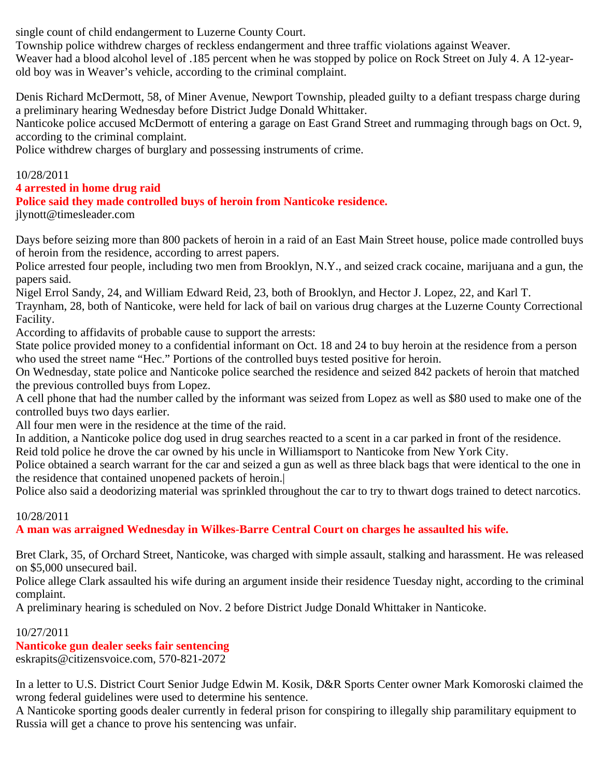single count of child endangerment to Luzerne County Court.

Township police withdrew charges of reckless endangerment and three traffic violations against Weaver.

Weaver had a blood alcohol level of .185 percent when he was stopped by police on Rock Street on July 4. A 12-yearold boy was in Weaver's vehicle, according to the criminal complaint.

Denis Richard McDermott, 58, of Miner Avenue, Newport Township, pleaded guilty to a defiant trespass charge during a preliminary hearing Wednesday before District Judge Donald Whittaker.

Nanticoke police accused McDermott of entering a garage on East Grand Street and rummaging through bags on Oct. 9, according to the criminal complaint.

Police withdrew charges of burglary and possessing instruments of crime.

## 10/28/2011

## **4 arrested in home drug raid**

## **Police said they made controlled buys of heroin from Nanticoke residence.**

jlynott@timesleader.com

Days before seizing more than 800 packets of heroin in a raid of an East Main Street house, police made controlled buys of heroin from the residence, according to arrest papers.

Police arrested four people, including two men from Brooklyn, N.Y., and seized crack cocaine, marijuana and a gun, the papers said.

Nigel Errol Sandy, 24, and William Edward Reid, 23, both of Brooklyn, and Hector J. Lopez, 22, and Karl T.

Traynham, 28, both of Nanticoke, were held for lack of bail on various drug charges at the Luzerne County Correctional Facility.

According to affidavits of probable cause to support the arrests:

State police provided money to a confidential informant on Oct. 18 and 24 to buy heroin at the residence from a person who used the street name "Hec." Portions of the controlled buys tested positive for heroin.

On Wednesday, state police and Nanticoke police searched the residence and seized 842 packets of heroin that matched the previous controlled buys from Lopez.

A cell phone that had the number called by the informant was seized from Lopez as well as \$80 used to make one of the controlled buys two days earlier.

All four men were in the residence at the time of the raid.

In addition, a Nanticoke police dog used in drug searches reacted to a scent in a car parked in front of the residence.

Reid told police he drove the car owned by his uncle in Williamsport to Nanticoke from New York City.

Police obtained a search warrant for the car and seized a gun as well as three black bags that were identical to the one in the residence that contained unopened packets of heroin.|

Police also said a deodorizing material was sprinkled throughout the car to try to thwart dogs trained to detect narcotics.

## 10/28/2011

**A man was arraigned Wednesday in Wilkes-Barre Central Court on charges he assaulted his wife.**

Bret Clark, 35, of Orchard Street, Nanticoke, was charged with simple assault, stalking and harassment. He was released on \$5,000 unsecured bail.

Police allege Clark assaulted his wife during an argument inside their residence Tuesday night, according to the criminal complaint.

A preliminary hearing is scheduled on Nov. 2 before District Judge Donald Whittaker in Nanticoke.

## 10/27/2011

**Nanticoke gun dealer seeks fair sentencing**

eskrapits@citizensvoice.com, 570-821-2072

In a letter to U.S. District Court Senior Judge Edwin M. Kosik, D&R Sports Center owner Mark Komoroski claimed the wrong federal guidelines were used to determine his sentence.

A Nanticoke sporting goods dealer currently in federal prison for conspiring to illegally ship paramilitary equipment to Russia will get a chance to prove his sentencing was unfair.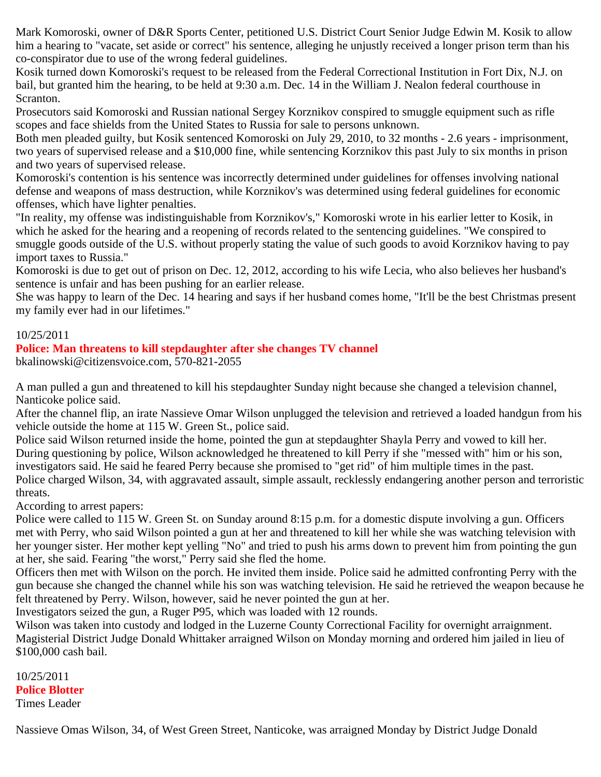Mark Komoroski, owner of D&R Sports Center, petitioned U.S. District Court Senior Judge Edwin M. Kosik to allow him a hearing to "vacate, set aside or correct" his sentence, alleging he unjustly received a longer prison term than his co-conspirator due to use of the wrong federal guidelines.

Kosik turned down Komoroski's request to be released from the Federal Correctional Institution in Fort Dix, N.J. on bail, but granted him the hearing, to be held at 9:30 a.m. Dec. 14 in the William J. Nealon federal courthouse in Scranton.

Prosecutors said Komoroski and Russian national Sergey Korznikov conspired to smuggle equipment such as rifle scopes and face shields from the United States to Russia for sale to persons unknown.

Both men pleaded guilty, but Kosik sentenced Komoroski on July 29, 2010, to 32 months - 2.6 years - imprisonment, two years of supervised release and a \$10,000 fine, while sentencing Korznikov this past July to six months in prison and two years of supervised release.

Komoroski's contention is his sentence was incorrectly determined under guidelines for offenses involving national defense and weapons of mass destruction, while Korznikov's was determined using federal guidelines for economic offenses, which have lighter penalties.

"In reality, my offense was indistinguishable from Korznikov's," Komoroski wrote in his earlier letter to Kosik, in which he asked for the hearing and a reopening of records related to the sentencing guidelines. "We conspired to smuggle goods outside of the U.S. without properly stating the value of such goods to avoid Korznikov having to pay import taxes to Russia."

Komoroski is due to get out of prison on Dec. 12, 2012, according to his wife Lecia, who also believes her husband's sentence is unfair and has been pushing for an earlier release.

She was happy to learn of the Dec. 14 hearing and says if her husband comes home, "It'll be the best Christmas present my family ever had in our lifetimes."

#### 10/25/2011

#### **Police: Man threatens to kill stepdaughter after she changes TV channel**

bkalinowski@citizensvoice.com, 570-821-2055

A man pulled a gun and threatened to kill his stepdaughter Sunday night because she changed a television channel, Nanticoke police said.

After the channel flip, an irate Nassieve Omar Wilson unplugged the television and retrieved a loaded handgun from his vehicle outside the home at 115 W. Green St., police said.

Police said Wilson returned inside the home, pointed the gun at stepdaughter Shayla Perry and vowed to kill her. During questioning by police, Wilson acknowledged he threatened to kill Perry if she "messed with" him or his son, investigators said. He said he feared Perry because she promised to "get rid" of him multiple times in the past. Police charged Wilson, 34, with aggravated assault, simple assault, recklessly endangering another person and terroristic threats.

According to arrest papers:

Police were called to 115 W. Green St. on Sunday around 8:15 p.m. for a domestic dispute involving a gun. Officers met with Perry, who said Wilson pointed a gun at her and threatened to kill her while she was watching television with her younger sister. Her mother kept yelling "No" and tried to push his arms down to prevent him from pointing the gun at her, she said. Fearing "the worst," Perry said she fled the home.

Officers then met with Wilson on the porch. He invited them inside. Police said he admitted confronting Perry with the gun because she changed the channel while his son was watching television. He said he retrieved the weapon because he felt threatened by Perry. Wilson, however, said he never pointed the gun at her.

Investigators seized the gun, a Ruger P95, which was loaded with 12 rounds.

Wilson was taken into custody and lodged in the Luzerne County Correctional Facility for overnight arraignment. Magisterial District Judge Donald Whittaker arraigned Wilson on Monday morning and ordered him jailed in lieu of \$100,000 cash bail.

10/25/2011 **Police Blotter** Times Leader

Nassieve Omas Wilson, 34, of West Green Street, Nanticoke, was arraigned Monday by District Judge Donald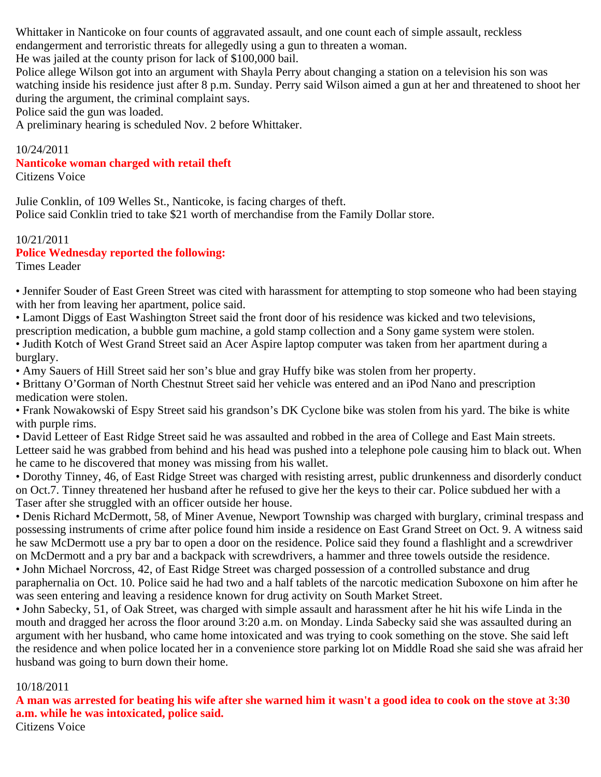Whittaker in Nanticoke on four counts of aggravated assault, and one count each of simple assault, reckless endangerment and terroristic threats for allegedly using a gun to threaten a woman.

He was jailed at the county prison for lack of \$100,000 bail.

Police allege Wilson got into an argument with Shayla Perry about changing a station on a television his son was watching inside his residence just after 8 p.m. Sunday. Perry said Wilson aimed a gun at her and threatened to shoot her during the argument, the criminal complaint says.

Police said the gun was loaded.

A preliminary hearing is scheduled Nov. 2 before Whittaker.

#### 10/24/2011

## **Nanticoke woman charged with retail theft**

Citizens Voice

Julie Conklin, of 109 Welles St., Nanticoke, is facing charges of theft. Police said Conklin tried to take \$21 worth of merchandise from the Family Dollar store.

10/21/2011 **Police Wednesday reported the following:** Times Leader

• Jennifer Souder of East Green Street was cited with harassment for attempting to stop someone who had been staying with her from leaving her apartment, police said.

• Lamont Diggs of East Washington Street said the front door of his residence was kicked and two televisions, prescription medication, a bubble gum machine, a gold stamp collection and a Sony game system were stolen.

• Judith Kotch of West Grand Street said an Acer Aspire laptop computer was taken from her apartment during a burglary.

• Amy Sauers of Hill Street said her son's blue and gray Huffy bike was stolen from her property.

• Brittany O'Gorman of North Chestnut Street said her vehicle was entered and an iPod Nano and prescription medication were stolen.

• Frank Nowakowski of Espy Street said his grandson's DK Cyclone bike was stolen from his yard. The bike is white with purple rims.

• David Letteer of East Ridge Street said he was assaulted and robbed in the area of College and East Main streets. Letteer said he was grabbed from behind and his head was pushed into a telephone pole causing him to black out. When he came to he discovered that money was missing from his wallet.

• Dorothy Tinney, 46, of East Ridge Street was charged with resisting arrest, public drunkenness and disorderly conduct on Oct.7. Tinney threatened her husband after he refused to give her the keys to their car. Police subdued her with a Taser after she struggled with an officer outside her house.

• Denis Richard McDermott, 58, of Miner Avenue, Newport Township was charged with burglary, criminal trespass and possessing instruments of crime after police found him inside a residence on East Grand Street on Oct. 9. A witness said he saw McDermott use a pry bar to open a door on the residence. Police said they found a flashlight and a screwdriver on McDermott and a pry bar and a backpack with screwdrivers, a hammer and three towels outside the residence.

• John Michael Norcross, 42, of East Ridge Street was charged possession of a controlled substance and drug paraphernalia on Oct. 10. Police said he had two and a half tablets of the narcotic medication Suboxone on him after he was seen entering and leaving a residence known for drug activity on South Market Street.

• John Sabecky, 51, of Oak Street, was charged with simple assault and harassment after he hit his wife Linda in the mouth and dragged her across the floor around 3:20 a.m. on Monday. Linda Sabecky said she was assaulted during an argument with her husband, who came home intoxicated and was trying to cook something on the stove. She said left the residence and when police located her in a convenience store parking lot on Middle Road she said she was afraid her husband was going to burn down their home.

### 10/18/2011

**A man was arrested for beating his wife after she warned him it wasn't a good idea to cook on the stove at 3:30 a.m. while he was intoxicated, police said.**

Citizens Voice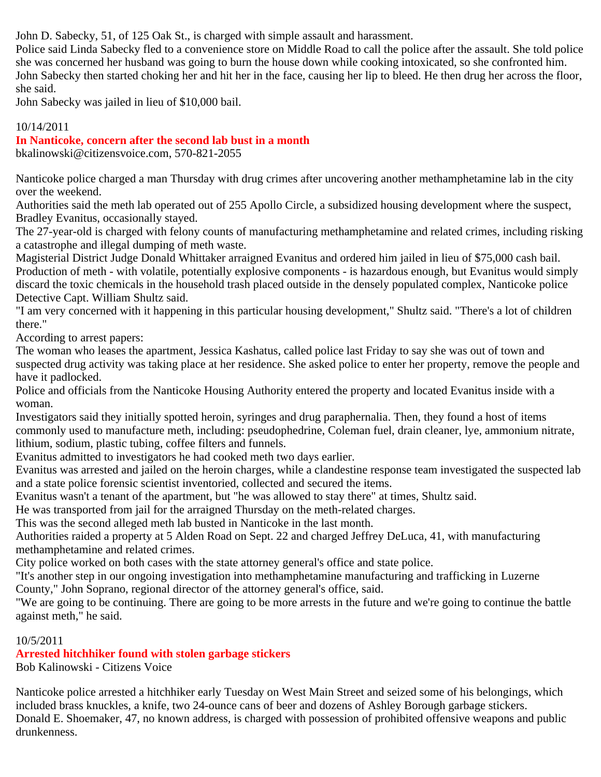John D. Sabecky, 51, of 125 Oak St., is charged with simple assault and harassment.

Police said Linda Sabecky fled to a convenience store on Middle Road to call the police after the assault. She told police she was concerned her husband was going to burn the house down while cooking intoxicated, so she confronted him. John Sabecky then started choking her and hit her in the face, causing her lip to bleed. He then drug her across the floor, she said.

John Sabecky was jailed in lieu of \$10,000 bail.

## 10/14/2011

## **In Nanticoke, concern after the second lab bust in a month**

bkalinowski@citizensvoice.com, 570-821-2055

Nanticoke police charged a man Thursday with drug crimes after uncovering another methamphetamine lab in the city over the weekend.

Authorities said the meth lab operated out of 255 Apollo Circle, a subsidized housing development where the suspect, Bradley Evanitus, occasionally stayed.

The 27-year-old is charged with felony counts of manufacturing methamphetamine and related crimes, including risking a catastrophe and illegal dumping of meth waste.

Magisterial District Judge Donald Whittaker arraigned Evanitus and ordered him jailed in lieu of \$75,000 cash bail. Production of meth - with volatile, potentially explosive components - is hazardous enough, but Evanitus would simply discard the toxic chemicals in the household trash placed outside in the densely populated complex, Nanticoke police Detective Capt. William Shultz said.

"I am very concerned with it happening in this particular housing development," Shultz said. "There's a lot of children there."

According to arrest papers:

The woman who leases the apartment, Jessica Kashatus, called police last Friday to say she was out of town and suspected drug activity was taking place at her residence. She asked police to enter her property, remove the people and have it padlocked.

Police and officials from the Nanticoke Housing Authority entered the property and located Evanitus inside with a woman.

Investigators said they initially spotted heroin, syringes and drug paraphernalia. Then, they found a host of items commonly used to manufacture meth, including: pseudophedrine, Coleman fuel, drain cleaner, lye, ammonium nitrate, lithium, sodium, plastic tubing, coffee filters and funnels.

Evanitus admitted to investigators he had cooked meth two days earlier.

Evanitus was arrested and jailed on the heroin charges, while a clandestine response team investigated the suspected lab and a state police forensic scientist inventoried, collected and secured the items.

Evanitus wasn't a tenant of the apartment, but "he was allowed to stay there" at times, Shultz said.

He was transported from jail for the arraigned Thursday on the meth-related charges.

This was the second alleged meth lab busted in Nanticoke in the last month.

Authorities raided a property at 5 Alden Road on Sept. 22 and charged Jeffrey DeLuca, 41, with manufacturing methamphetamine and related crimes.

City police worked on both cases with the state attorney general's office and state police.

"It's another step in our ongoing investigation into methamphetamine manufacturing and trafficking in Luzerne County," John Soprano, regional director of the attorney general's office, said.

"We are going to be continuing. There are going to be more arrests in the future and we're going to continue the battle against meth," he said.

## 10/5/2011

# **Arrested hitchhiker found with stolen garbage stickers**

Bob Kalinowski - Citizens Voice

Nanticoke police arrested a hitchhiker early Tuesday on West Main Street and seized some of his belongings, which included brass knuckles, a knife, two 24-ounce cans of beer and dozens of Ashley Borough garbage stickers. Donald E. Shoemaker, 47, no known address, is charged with possession of prohibited offensive weapons and public drunkenness.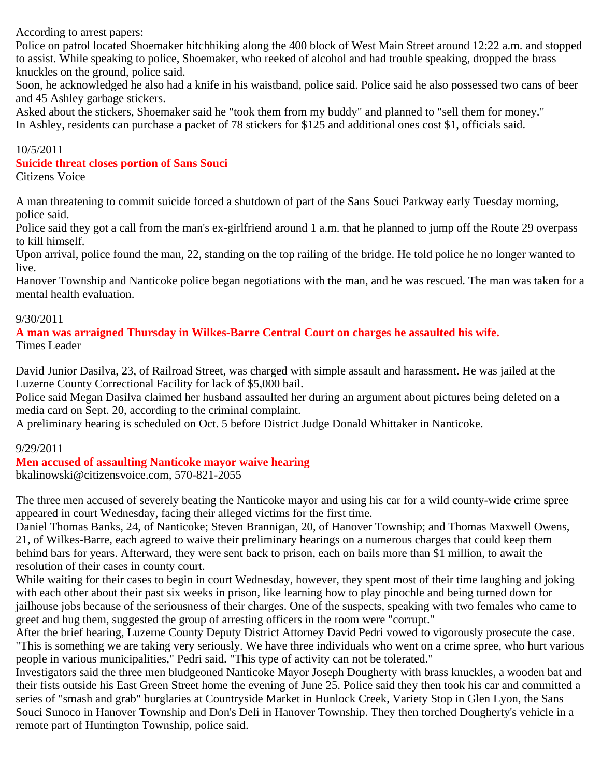According to arrest papers:

Police on patrol located Shoemaker hitchhiking along the 400 block of West Main Street around 12:22 a.m. and stopped to assist. While speaking to police, Shoemaker, who reeked of alcohol and had trouble speaking, dropped the brass knuckles on the ground, police said.

Soon, he acknowledged he also had a knife in his waistband, police said. Police said he also possessed two cans of beer and 45 Ashley garbage stickers.

Asked about the stickers, Shoemaker said he "took them from my buddy" and planned to "sell them for money." In Ashley, residents can purchase a packet of 78 stickers for \$125 and additional ones cost \$1, officials said.

#### 10/5/2011

#### **Suicide threat closes portion of Sans Souci**

Citizens Voice

A man threatening to commit suicide forced a shutdown of part of the Sans Souci Parkway early Tuesday morning, police said.

Police said they got a call from the man's ex-girlfriend around 1 a.m. that he planned to jump off the Route 29 overpass to kill himself.

Upon arrival, police found the man, 22, standing on the top railing of the bridge. He told police he no longer wanted to live.

Hanover Township and Nanticoke police began negotiations with the man, and he was rescued. The man was taken for a mental health evaluation.

#### 9/30/2011

**A man was arraigned Thursday in Wilkes-Barre Central Court on charges he assaulted his wife.** Times Leader

David Junior Dasilva, 23, of Railroad Street, was charged with simple assault and harassment. He was jailed at the Luzerne County Correctional Facility for lack of \$5,000 bail.

Police said Megan Dasilva claimed her husband assaulted her during an argument about pictures being deleted on a media card on Sept. 20, according to the criminal complaint.

A preliminary hearing is scheduled on Oct. 5 before District Judge Donald Whittaker in Nanticoke.

### 9/29/2011

### **Men accused of assaulting Nanticoke mayor waive hearing**

bkalinowski@citizensvoice.com, 570-821-2055

The three men accused of severely beating the Nanticoke mayor and using his car for a wild county-wide crime spree appeared in court Wednesday, facing their alleged victims for the first time.

Daniel Thomas Banks, 24, of Nanticoke; Steven Brannigan, 20, of Hanover Township; and Thomas Maxwell Owens, 21, of Wilkes-Barre, each agreed to waive their preliminary hearings on a numerous charges that could keep them behind bars for years. Afterward, they were sent back to prison, each on bails more than \$1 million, to await the resolution of their cases in county court.

While waiting for their cases to begin in court Wednesday, however, they spent most of their time laughing and joking with each other about their past six weeks in prison, like learning how to play pinochle and being turned down for jailhouse jobs because of the seriousness of their charges. One of the suspects, speaking with two females who came to greet and hug them, suggested the group of arresting officers in the room were "corrupt."

After the brief hearing, Luzerne County Deputy District Attorney David Pedri vowed to vigorously prosecute the case. "This is something we are taking very seriously. We have three individuals who went on a crime spree, who hurt various people in various municipalities," Pedri said. "This type of activity can not be tolerated."

Investigators said the three men bludgeoned Nanticoke Mayor Joseph Dougherty with brass knuckles, a wooden bat and their fists outside his East Green Street home the evening of June 25. Police said they then took his car and committed a series of "smash and grab" burglaries at Countryside Market in Hunlock Creek, Variety Stop in Glen Lyon, the Sans Souci Sunoco in Hanover Township and Don's Deli in Hanover Township. They then torched Dougherty's vehicle in a remote part of Huntington Township, police said.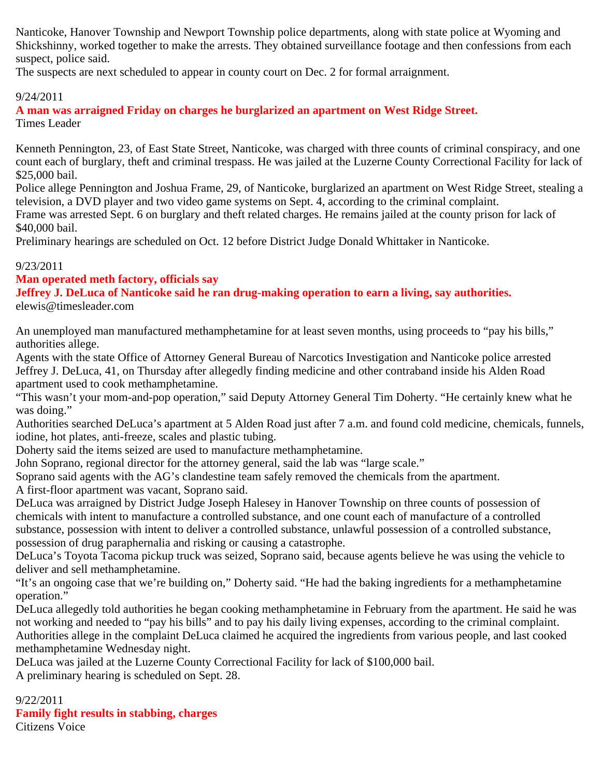Nanticoke, Hanover Township and Newport Township police departments, along with state police at Wyoming and Shickshinny, worked together to make the arrests. They obtained surveillance footage and then confessions from each suspect, police said.

The suspects are next scheduled to appear in county court on Dec. 2 for formal arraignment.

## 9/24/2011

**A man was arraigned Friday on charges he burglarized an apartment on West Ridge Street.** Times Leader

Kenneth Pennington, 23, of East State Street, Nanticoke, was charged with three counts of criminal conspiracy, and one count each of burglary, theft and criminal trespass. He was jailed at the Luzerne County Correctional Facility for lack of \$25,000 bail.

Police allege Pennington and Joshua Frame, 29, of Nanticoke, burglarized an apartment on West Ridge Street, stealing a television, a DVD player and two video game systems on Sept. 4, according to the criminal complaint.

Frame was arrested Sept. 6 on burglary and theft related charges. He remains jailed at the county prison for lack of \$40,000 bail.

Preliminary hearings are scheduled on Oct. 12 before District Judge Donald Whittaker in Nanticoke.

## 9/23/2011

**Man operated meth factory, officials say**

**Jeffrey J. DeLuca of Nanticoke said he ran drug-making operation to earn a living, say authorities.** elewis@timesleader.com

An unemployed man manufactured methamphetamine for at least seven months, using proceeds to "pay his bills," authorities allege.

Agents with the state Office of Attorney General Bureau of Narcotics Investigation and Nanticoke police arrested Jeffrey J. DeLuca, 41, on Thursday after allegedly finding medicine and other contraband inside his Alden Road apartment used to cook methamphetamine.

"This wasn't your mom-and-pop operation," said Deputy Attorney General Tim Doherty. "He certainly knew what he was doing."

Authorities searched DeLuca's apartment at 5 Alden Road just after 7 a.m. and found cold medicine, chemicals, funnels, iodine, hot plates, anti-freeze, scales and plastic tubing.

Doherty said the items seized are used to manufacture methamphetamine.

John Soprano, regional director for the attorney general, said the lab was "large scale."

Soprano said agents with the AG's clandestine team safely removed the chemicals from the apartment.

A first-floor apartment was vacant, Soprano said.

DeLuca was arraigned by District Judge Joseph Halesey in Hanover Township on three counts of possession of chemicals with intent to manufacture a controlled substance, and one count each of manufacture of a controlled substance, possession with intent to deliver a controlled substance, unlawful possession of a controlled substance, possession of drug paraphernalia and risking or causing a catastrophe.

DeLuca's Toyota Tacoma pickup truck was seized, Soprano said, because agents believe he was using the vehicle to deliver and sell methamphetamine.

"It's an ongoing case that we're building on," Doherty said. "He had the baking ingredients for a methamphetamine operation."

DeLuca allegedly told authorities he began cooking methamphetamine in February from the apartment. He said he was not working and needed to "pay his bills" and to pay his daily living expenses, according to the criminal complaint. Authorities allege in the complaint DeLuca claimed he acquired the ingredients from various people, and last cooked methamphetamine Wednesday night.

DeLuca was jailed at the Luzerne County Correctional Facility for lack of \$100,000 bail. A preliminary hearing is scheduled on Sept. 28.

9/22/2011 **Family fight results in stabbing, charges** Citizens Voice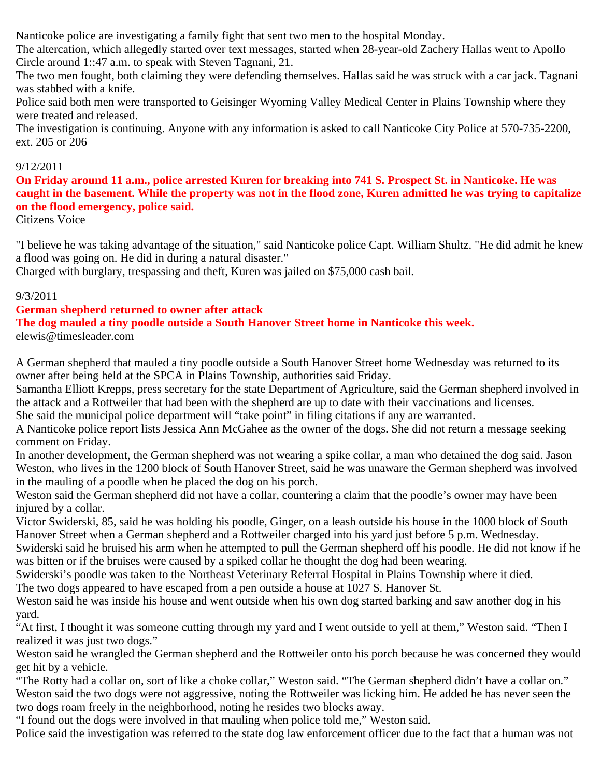Nanticoke police are investigating a family fight that sent two men to the hospital Monday.

The altercation, which allegedly started over text messages, started when 28-year-old Zachery Hallas went to Apollo Circle around 1::47 a.m. to speak with Steven Tagnani, 21.

The two men fought, both claiming they were defending themselves. Hallas said he was struck with a car jack. Tagnani was stabbed with a knife.

Police said both men were transported to Geisinger Wyoming Valley Medical Center in Plains Township where they were treated and released.

The investigation is continuing. Anyone with any information is asked to call Nanticoke City Police at 570-735-2200, ext. 205 or 206

### 9/12/2011

**On Friday around 11 a.m., police arrested Kuren for breaking into 741 S. Prospect St. in Nanticoke. He was caught in the basement. While the property was not in the flood zone, Kuren admitted he was trying to capitalize on the flood emergency, police said.**

Citizens Voice

"I believe he was taking advantage of the situation," said Nanticoke police Capt. William Shultz. "He did admit he knew a flood was going on. He did in during a natural disaster."

Charged with burglary, trespassing and theft, Kuren was jailed on \$75,000 cash bail.

## 9/3/2011

## **German shepherd returned to owner after attack**

## **The dog mauled a tiny poodle outside a South Hanover Street home in Nanticoke this week.**

elewis@timesleader.com

A German shepherd that mauled a tiny poodle outside a South Hanover Street home Wednesday was returned to its owner after being held at the SPCA in Plains Township, authorities said Friday.

Samantha Elliott Krepps, press secretary for the state Department of Agriculture, said the German shepherd involved in the attack and a Rottweiler that had been with the shepherd are up to date with their vaccinations and licenses.

She said the municipal police department will "take point" in filing citations if any are warranted.

A Nanticoke police report lists Jessica Ann McGahee as the owner of the dogs. She did not return a message seeking comment on Friday.

In another development, the German shepherd was not wearing a spike collar, a man who detained the dog said. Jason Weston, who lives in the 1200 block of South Hanover Street, said he was unaware the German shepherd was involved in the mauling of a poodle when he placed the dog on his porch.

Weston said the German shepherd did not have a collar, countering a claim that the poodle's owner may have been injured by a collar.

Victor Swiderski, 85, said he was holding his poodle, Ginger, on a leash outside his house in the 1000 block of South Hanover Street when a German shepherd and a Rottweiler charged into his yard just before 5 p.m. Wednesday.

Swiderski said he bruised his arm when he attempted to pull the German shepherd off his poodle. He did not know if he was bitten or if the bruises were caused by a spiked collar he thought the dog had been wearing.

Swiderski's poodle was taken to the Northeast Veterinary Referral Hospital in Plains Township where it died.

The two dogs appeared to have escaped from a pen outside a house at 1027 S. Hanover St.

Weston said he was inside his house and went outside when his own dog started barking and saw another dog in his yard.

"At first, I thought it was someone cutting through my yard and I went outside to yell at them," Weston said. "Then I realized it was just two dogs."

Weston said he wrangled the German shepherd and the Rottweiler onto his porch because he was concerned they would get hit by a vehicle.

"The Rotty had a collar on, sort of like a choke collar," Weston said. "The German shepherd didn't have a collar on." Weston said the two dogs were not aggressive, noting the Rottweiler was licking him. He added he has never seen the two dogs roam freely in the neighborhood, noting he resides two blocks away.

"I found out the dogs were involved in that mauling when police told me," Weston said.

Police said the investigation was referred to the state dog law enforcement officer due to the fact that a human was not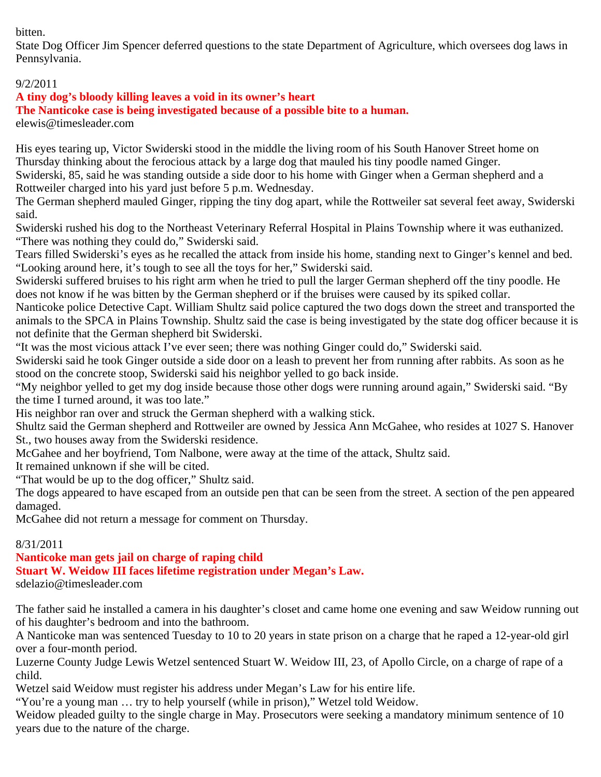### bitten.

State Dog Officer Jim Spencer deferred questions to the state Department of Agriculture, which oversees dog laws in Pennsylvania.

## 9/2/2011

## **A tiny dog's bloody killing leaves a void in its owner's heart**

**The Nanticoke case is being investigated because of a possible bite to a human.**

elewis@timesleader.com

His eyes tearing up, Victor Swiderski stood in the middle the living room of his South Hanover Street home on Thursday thinking about the ferocious attack by a large dog that mauled his tiny poodle named Ginger. Swiderski, 85, said he was standing outside a side door to his home with Ginger when a German shepherd and a Rottweiler charged into his yard just before 5 p.m. Wednesday.

The German shepherd mauled Ginger, ripping the tiny dog apart, while the Rottweiler sat several feet away, Swiderski said.

Swiderski rushed his dog to the Northeast Veterinary Referral Hospital in Plains Township where it was euthanized. "There was nothing they could do," Swiderski said.

Tears filled Swiderski's eyes as he recalled the attack from inside his home, standing next to Ginger's kennel and bed. "Looking around here, it's tough to see all the toys for her," Swiderski said.

Swiderski suffered bruises to his right arm when he tried to pull the larger German shepherd off the tiny poodle. He does not know if he was bitten by the German shepherd or if the bruises were caused by its spiked collar.

Nanticoke police Detective Capt. William Shultz said police captured the two dogs down the street and transported the animals to the SPCA in Plains Township. Shultz said the case is being investigated by the state dog officer because it is not definite that the German shepherd bit Swiderski.

"It was the most vicious attack I've ever seen; there was nothing Ginger could do," Swiderski said.

Swiderski said he took Ginger outside a side door on a leash to prevent her from running after rabbits. As soon as he stood on the concrete stoop, Swiderski said his neighbor yelled to go back inside.

"My neighbor yelled to get my dog inside because those other dogs were running around again," Swiderski said. "By the time I turned around, it was too late."

His neighbor ran over and struck the German shepherd with a walking stick.

Shultz said the German shepherd and Rottweiler are owned by Jessica Ann McGahee, who resides at 1027 S. Hanover St., two houses away from the Swiderski residence.

McGahee and her boyfriend, Tom Nalbone, were away at the time of the attack, Shultz said.

It remained unknown if she will be cited.

"That would be up to the dog officer," Shultz said.

The dogs appeared to have escaped from an outside pen that can be seen from the street. A section of the pen appeared damaged.

McGahee did not return a message for comment on Thursday.

### 8/31/2011

**Nanticoke man gets jail on charge of raping child Stuart W. Weidow III faces lifetime registration under Megan's Law.** sdelazio@timesleader.com

The father said he installed a camera in his daughter's closet and came home one evening and saw Weidow running out of his daughter's bedroom and into the bathroom.

A Nanticoke man was sentenced Tuesday to 10 to 20 years in state prison on a charge that he raped a 12-year-old girl over a four-month period.

Luzerne County Judge Lewis Wetzel sentenced Stuart W. Weidow III, 23, of Apollo Circle, on a charge of rape of a child.

Wetzel said Weidow must register his address under Megan's Law for his entire life.

"You're a young man … try to help yourself (while in prison)," Wetzel told Weidow.

Weidow pleaded guilty to the single charge in May. Prosecutors were seeking a mandatory minimum sentence of 10 years due to the nature of the charge.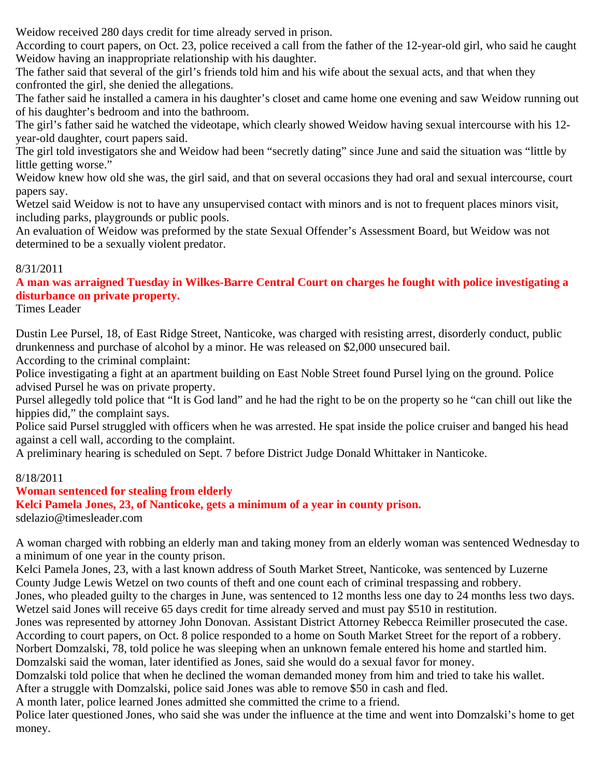Weidow received 280 days credit for time already served in prison.

According to court papers, on Oct. 23, police received a call from the father of the 12-year-old girl, who said he caught Weidow having an inappropriate relationship with his daughter.

The father said that several of the girl's friends told him and his wife about the sexual acts, and that when they confronted the girl, she denied the allegations.

The father said he installed a camera in his daughter's closet and came home one evening and saw Weidow running out of his daughter's bedroom and into the bathroom.

The girl's father said he watched the videotape, which clearly showed Weidow having sexual intercourse with his 12 year-old daughter, court papers said.

The girl told investigators she and Weidow had been "secretly dating" since June and said the situation was "little by little getting worse."

Weidow knew how old she was, the girl said, and that on several occasions they had oral and sexual intercourse, court papers say.

Wetzel said Weidow is not to have any unsupervised contact with minors and is not to frequent places minors visit, including parks, playgrounds or public pools.

An evaluation of Weidow was preformed by the state Sexual Offender's Assessment Board, but Weidow was not determined to be a sexually violent predator.

### 8/31/2011

**A man was arraigned Tuesday in Wilkes-Barre Central Court on charges he fought with police investigating a disturbance on private property.**

Times Leader

Dustin Lee Pursel, 18, of East Ridge Street, Nanticoke, was charged with resisting arrest, disorderly conduct, public drunkenness and purchase of alcohol by a minor. He was released on \$2,000 unsecured bail.

According to the criminal complaint:

Police investigating a fight at an apartment building on East Noble Street found Pursel lying on the ground. Police advised Pursel he was on private property.

Pursel allegedly told police that "It is God land" and he had the right to be on the property so he "can chill out like the hippies did," the complaint says.

Police said Pursel struggled with officers when he was arrested. He spat inside the police cruiser and banged his head against a cell wall, according to the complaint.

A preliminary hearing is scheduled on Sept. 7 before District Judge Donald Whittaker in Nanticoke.

### 8/18/2011

### **Woman sentenced for stealing from elderly**

**Kelci Pamela Jones, 23, of Nanticoke, gets a minimum of a year in county prison.** sdelazio@timesleader.com

A woman charged with robbing an elderly man and taking money from an elderly woman was sentenced Wednesday to

a minimum of one year in the county prison. Kelci Pamela Jones, 23, with a last known address of South Market Street, Nanticoke, was sentenced by Luzerne County Judge Lewis Wetzel on two counts of theft and one count each of criminal trespassing and robbery.

Jones, who pleaded guilty to the charges in June, was sentenced to 12 months less one day to 24 months less two days. Wetzel said Jones will receive 65 days credit for time already served and must pay \$510 in restitution.

Jones was represented by attorney John Donovan. Assistant District Attorney Rebecca Reimiller prosecuted the case.

According to court papers, on Oct. 8 police responded to a home on South Market Street for the report of a robbery. Norbert Domzalski, 78, told police he was sleeping when an unknown female entered his home and startled him.

Domzalski said the woman, later identified as Jones, said she would do a sexual favor for money.

Domzalski told police that when he declined the woman demanded money from him and tried to take his wallet. After a struggle with Domzalski, police said Jones was able to remove \$50 in cash and fled.

A month later, police learned Jones admitted she committed the crime to a friend.

Police later questioned Jones, who said she was under the influence at the time and went into Domzalski's home to get money.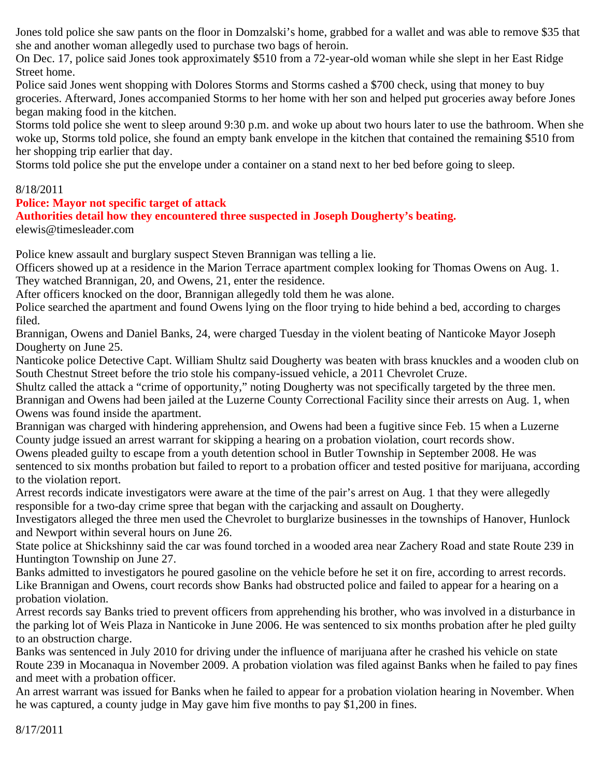Jones told police she saw pants on the floor in Domzalski's home, grabbed for a wallet and was able to remove \$35 that she and another woman allegedly used to purchase two bags of heroin.

On Dec. 17, police said Jones took approximately \$510 from a 72-year-old woman while she slept in her East Ridge Street home.

Police said Jones went shopping with Dolores Storms and Storms cashed a \$700 check, using that money to buy groceries. Afterward, Jones accompanied Storms to her home with her son and helped put groceries away before Jones began making food in the kitchen.

Storms told police she went to sleep around 9:30 p.m. and woke up about two hours later to use the bathroom. When she woke up, Storms told police, she found an empty bank envelope in the kitchen that contained the remaining \$510 from her shopping trip earlier that day.

Storms told police she put the envelope under a container on a stand next to her bed before going to sleep.

## 8/18/2011

## **Police: Mayor not specific target of attack**

## **Authorities detail how they encountered three suspected in Joseph Dougherty's beating.**

elewis@timesleader.com

Police knew assault and burglary suspect Steven Brannigan was telling a lie.

Officers showed up at a residence in the Marion Terrace apartment complex looking for Thomas Owens on Aug. 1. They watched Brannigan, 20, and Owens, 21, enter the residence.

After officers knocked on the door, Brannigan allegedly told them he was alone.

Police searched the apartment and found Owens lying on the floor trying to hide behind a bed, according to charges filed.

Brannigan, Owens and Daniel Banks, 24, were charged Tuesday in the violent beating of Nanticoke Mayor Joseph Dougherty on June 25.

Nanticoke police Detective Capt. William Shultz said Dougherty was beaten with brass knuckles and a wooden club on South Chestnut Street before the trio stole his company-issued vehicle, a 2011 Chevrolet Cruze.

Shultz called the attack a "crime of opportunity," noting Dougherty was not specifically targeted by the three men. Brannigan and Owens had been jailed at the Luzerne County Correctional Facility since their arrests on Aug. 1, when Owens was found inside the apartment.

Brannigan was charged with hindering apprehension, and Owens had been a fugitive since Feb. 15 when a Luzerne County judge issued an arrest warrant for skipping a hearing on a probation violation, court records show.

Owens pleaded guilty to escape from a youth detention school in Butler Township in September 2008. He was sentenced to six months probation but failed to report to a probation officer and tested positive for marijuana, according to the violation report.

Arrest records indicate investigators were aware at the time of the pair's arrest on Aug. 1 that they were allegedly responsible for a two-day crime spree that began with the carjacking and assault on Dougherty.

Investigators alleged the three men used the Chevrolet to burglarize businesses in the townships of Hanover, Hunlock and Newport within several hours on June 26.

State police at Shickshinny said the car was found torched in a wooded area near Zachery Road and state Route 239 in Huntington Township on June 27.

Banks admitted to investigators he poured gasoline on the vehicle before he set it on fire, according to arrest records. Like Brannigan and Owens, court records show Banks had obstructed police and failed to appear for a hearing on a probation violation.

Arrest records say Banks tried to prevent officers from apprehending his brother, who was involved in a disturbance in the parking lot of Weis Plaza in Nanticoke in June 2006. He was sentenced to six months probation after he pled guilty to an obstruction charge.

Banks was sentenced in July 2010 for driving under the influence of marijuana after he crashed his vehicle on state Route 239 in Mocanaqua in November 2009. A probation violation was filed against Banks when he failed to pay fines and meet with a probation officer.

An arrest warrant was issued for Banks when he failed to appear for a probation violation hearing in November. When he was captured, a county judge in May gave him five months to pay \$1,200 in fines.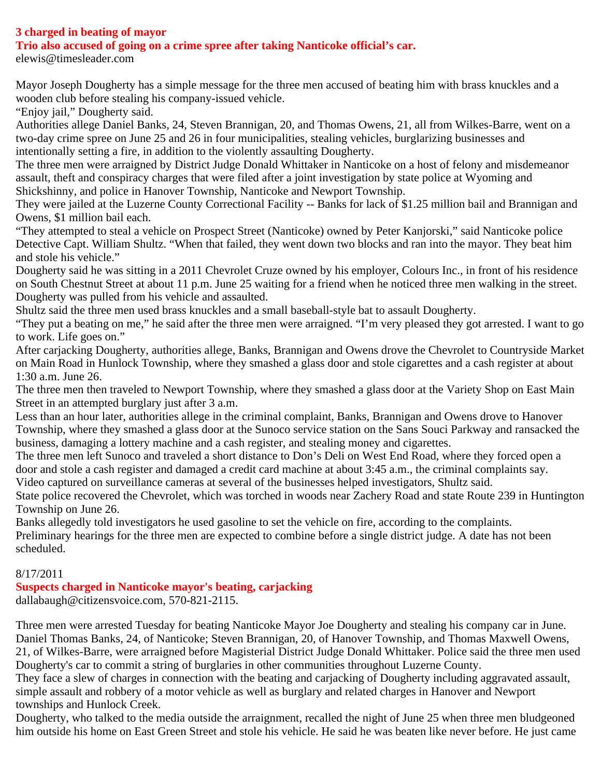## **3 charged in beating of mayor**

**Trio also accused of going on a crime spree after taking Nanticoke official's car.**

elewis@timesleader.com

Mayor Joseph Dougherty has a simple message for the three men accused of beating him with brass knuckles and a wooden club before stealing his company-issued vehicle.

"Enjoy jail," Dougherty said.

Authorities allege Daniel Banks, 24, Steven Brannigan, 20, and Thomas Owens, 21, all from Wilkes-Barre, went on a two-day crime spree on June 25 and 26 in four municipalities, stealing vehicles, burglarizing businesses and intentionally setting a fire, in addition to the violently assaulting Dougherty.

The three men were arraigned by District Judge Donald Whittaker in Nanticoke on a host of felony and misdemeanor assault, theft and conspiracy charges that were filed after a joint investigation by state police at Wyoming and Shickshinny, and police in Hanover Township, Nanticoke and Newport Township.

They were jailed at the Luzerne County Correctional Facility -- Banks for lack of \$1.25 million bail and Brannigan and Owens, \$1 million bail each.

"They attempted to steal a vehicle on Prospect Street (Nanticoke) owned by Peter Kanjorski," said Nanticoke police Detective Capt. William Shultz. "When that failed, they went down two blocks and ran into the mayor. They beat him and stole his vehicle."

Dougherty said he was sitting in a 2011 Chevrolet Cruze owned by his employer, Colours Inc., in front of his residence on South Chestnut Street at about 11 p.m. June 25 waiting for a friend when he noticed three men walking in the street. Dougherty was pulled from his vehicle and assaulted.

Shultz said the three men used brass knuckles and a small baseball-style bat to assault Dougherty.

"They put a beating on me," he said after the three men were arraigned. "I'm very pleased they got arrested. I want to go to work. Life goes on."

After carjacking Dougherty, authorities allege, Banks, Brannigan and Owens drove the Chevrolet to Countryside Market on Main Road in Hunlock Township, where they smashed a glass door and stole cigarettes and a cash register at about 1:30 a.m. June 26.

The three men then traveled to Newport Township, where they smashed a glass door at the Variety Shop on East Main Street in an attempted burglary just after 3 a.m.

Less than an hour later, authorities allege in the criminal complaint, Banks, Brannigan and Owens drove to Hanover Township, where they smashed a glass door at the Sunoco service station on the Sans Souci Parkway and ransacked the business, damaging a lottery machine and a cash register, and stealing money and cigarettes.

The three men left Sunoco and traveled a short distance to Don's Deli on West End Road, where they forced open a door and stole a cash register and damaged a credit card machine at about 3:45 a.m., the criminal complaints say. Video captured on surveillance cameras at several of the businesses helped investigators, Shultz said.

State police recovered the Chevrolet, which was torched in woods near Zachery Road and state Route 239 in Huntington Township on June 26.

Banks allegedly told investigators he used gasoline to set the vehicle on fire, according to the complaints. Preliminary hearings for the three men are expected to combine before a single district judge. A date has not been scheduled.

### 8/17/2011

### **Suspects charged in Nanticoke mayor's beating, carjacking**

dallabaugh@citizensvoice.com, 570-821-2115.

Three men were arrested Tuesday for beating Nanticoke Mayor Joe Dougherty and stealing his company car in June. Daniel Thomas Banks, 24, of Nanticoke; Steven Brannigan, 20, of Hanover Township, and Thomas Maxwell Owens, 21, of Wilkes-Barre, were arraigned before Magisterial District Judge Donald Whittaker. Police said the three men used Dougherty's car to commit a string of burglaries in other communities throughout Luzerne County.

They face a slew of charges in connection with the beating and carjacking of Dougherty including aggravated assault, simple assault and robbery of a motor vehicle as well as burglary and related charges in Hanover and Newport townships and Hunlock Creek.

Dougherty, who talked to the media outside the arraignment, recalled the night of June 25 when three men bludgeoned him outside his home on East Green Street and stole his vehicle. He said he was beaten like never before. He just came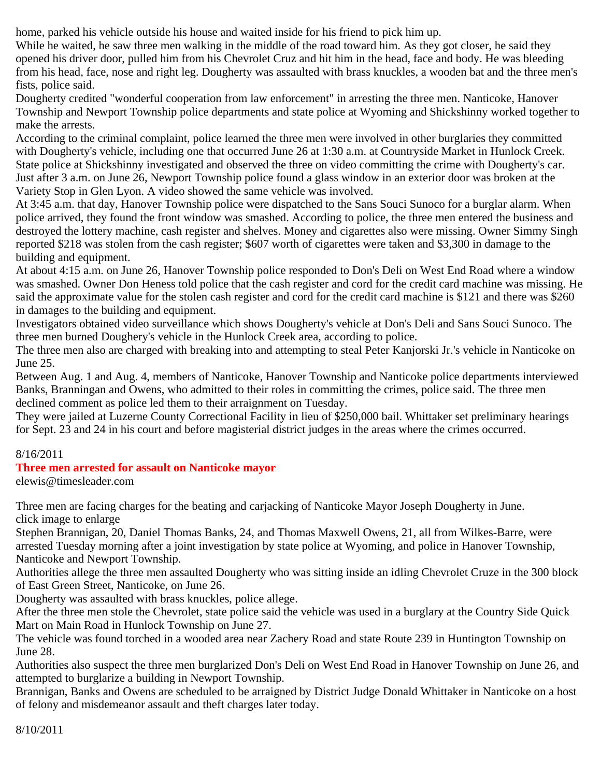home, parked his vehicle outside his house and waited inside for his friend to pick him up.

While he waited, he saw three men walking in the middle of the road toward him. As they got closer, he said they opened his driver door, pulled him from his Chevrolet Cruz and hit him in the head, face and body. He was bleeding from his head, face, nose and right leg. Dougherty was assaulted with brass knuckles, a wooden bat and the three men's fists, police said.

Dougherty credited "wonderful cooperation from law enforcement" in arresting the three men. Nanticoke, Hanover Township and Newport Township police departments and state police at Wyoming and Shickshinny worked together to make the arrests.

According to the criminal complaint, police learned the three men were involved in other burglaries they committed with Dougherty's vehicle, including one that occurred June 26 at 1:30 a.m. at Countryside Market in Hunlock Creek. State police at Shickshinny investigated and observed the three on video committing the crime with Dougherty's car. Just after 3 a.m. on June 26, Newport Township police found a glass window in an exterior door was broken at the Variety Stop in Glen Lyon. A video showed the same vehicle was involved.

At 3:45 a.m. that day, Hanover Township police were dispatched to the Sans Souci Sunoco for a burglar alarm. When police arrived, they found the front window was smashed. According to police, the three men entered the business and destroyed the lottery machine, cash register and shelves. Money and cigarettes also were missing. Owner Simmy Singh reported \$218 was stolen from the cash register; \$607 worth of cigarettes were taken and \$3,300 in damage to the building and equipment.

At about 4:15 a.m. on June 26, Hanover Township police responded to Don's Deli on West End Road where a window was smashed. Owner Don Heness told police that the cash register and cord for the credit card machine was missing. He said the approximate value for the stolen cash register and cord for the credit card machine is \$121 and there was \$260 in damages to the building and equipment.

Investigators obtained video surveillance which shows Dougherty's vehicle at Don's Deli and Sans Souci Sunoco. The three men burned Doughery's vehicle in the Hunlock Creek area, according to police.

The three men also are charged with breaking into and attempting to steal Peter Kanjorski Jr.'s vehicle in Nanticoke on June 25.

Between Aug. 1 and Aug. 4, members of Nanticoke, Hanover Township and Nanticoke police departments interviewed Banks, Branningan and Owens, who admitted to their roles in committing the crimes, police said. The three men declined comment as police led them to their arraignment on Tuesday.

They were jailed at Luzerne County Correctional Facility in lieu of \$250,000 bail. Whittaker set preliminary hearings for Sept. 23 and 24 in his court and before magisterial district judges in the areas where the crimes occurred.

## 8/16/2011

## **Three men arrested for assault on Nanticoke mayor**

elewis@timesleader.com

Three men are facing charges for the beating and carjacking of Nanticoke Mayor Joseph Dougherty in June. click image to enlarge

Stephen Brannigan, 20, Daniel Thomas Banks, 24, and Thomas Maxwell Owens, 21, all from Wilkes-Barre, were arrested Tuesday morning after a joint investigation by state police at Wyoming, and police in Hanover Township, Nanticoke and Newport Township.

Authorities allege the three men assaulted Dougherty who was sitting inside an idling Chevrolet Cruze in the 300 block of East Green Street, Nanticoke, on June 26.

Dougherty was assaulted with brass knuckles, police allege.

After the three men stole the Chevrolet, state police said the vehicle was used in a burglary at the Country Side Quick Mart on Main Road in Hunlock Township on June 27.

The vehicle was found torched in a wooded area near Zachery Road and state Route 239 in Huntington Township on June 28.

Authorities also suspect the three men burglarized Don's Deli on West End Road in Hanover Township on June 26, and attempted to burglarize a building in Newport Township.

Brannigan, Banks and Owens are scheduled to be arraigned by District Judge Donald Whittaker in Nanticoke on a host of felony and misdemeanor assault and theft charges later today.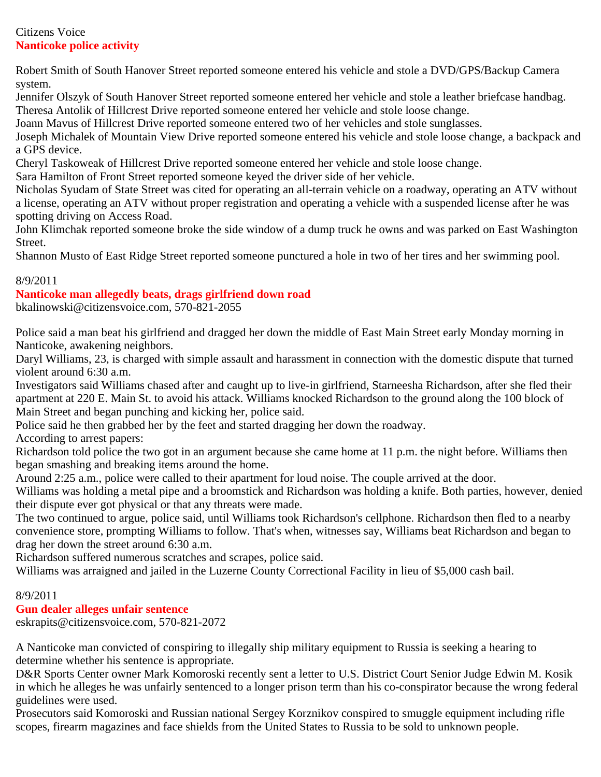## Citizens Voice **Nanticoke police activity**

Robert Smith of South Hanover Street reported someone entered his vehicle and stole a DVD/GPS/Backup Camera system.

Jennifer Olszyk of South Hanover Street reported someone entered her vehicle and stole a leather briefcase handbag. Theresa Antolik of Hillcrest Drive reported someone entered her vehicle and stole loose change.

Joann Mavus of Hillcrest Drive reported someone entered two of her vehicles and stole sunglasses.

Joseph Michalek of Mountain View Drive reported someone entered his vehicle and stole loose change, a backpack and a GPS device.

Cheryl Taskoweak of Hillcrest Drive reported someone entered her vehicle and stole loose change.

Sara Hamilton of Front Street reported someone keyed the driver side of her vehicle.

Nicholas Syudam of State Street was cited for operating an all-terrain vehicle on a roadway, operating an ATV without a license, operating an ATV without proper registration and operating a vehicle with a suspended license after he was spotting driving on Access Road.

John Klimchak reported someone broke the side window of a dump truck he owns and was parked on East Washington Street.

Shannon Musto of East Ridge Street reported someone punctured a hole in two of her tires and her swimming pool.

## 8/9/2011

## **Nanticoke man allegedly beats, drags girlfriend down road**

bkalinowski@citizensvoice.com, 570-821-2055

Police said a man beat his girlfriend and dragged her down the middle of East Main Street early Monday morning in Nanticoke, awakening neighbors.

Daryl Williams, 23, is charged with simple assault and harassment in connection with the domestic dispute that turned violent around 6:30 a.m.

Investigators said Williams chased after and caught up to live-in girlfriend, Starneesha Richardson, after she fled their apartment at 220 E. Main St. to avoid his attack. Williams knocked Richardson to the ground along the 100 block of Main Street and began punching and kicking her, police said.

Police said he then grabbed her by the feet and started dragging her down the roadway.

According to arrest papers:

Richardson told police the two got in an argument because she came home at 11 p.m. the night before. Williams then began smashing and breaking items around the home.

Around 2:25 a.m., police were called to their apartment for loud noise. The couple arrived at the door.

Williams was holding a metal pipe and a broomstick and Richardson was holding a knife. Both parties, however, denied their dispute ever got physical or that any threats were made.

The two continued to argue, police said, until Williams took Richardson's cellphone. Richardson then fled to a nearby convenience store, prompting Williams to follow. That's when, witnesses say, Williams beat Richardson and began to drag her down the street around 6:30 a.m.

Richardson suffered numerous scratches and scrapes, police said.

Williams was arraigned and jailed in the Luzerne County Correctional Facility in lieu of \$5,000 cash bail.

## 8/9/2011

## **Gun dealer alleges unfair sentence**

eskrapits@citizensvoice.com, 570-821-2072

A Nanticoke man convicted of conspiring to illegally ship military equipment to Russia is seeking a hearing to determine whether his sentence is appropriate.

D&R Sports Center owner Mark Komoroski recently sent a letter to U.S. District Court Senior Judge Edwin M. Kosik in which he alleges he was unfairly sentenced to a longer prison term than his co-conspirator because the wrong federal guidelines were used.

Prosecutors said Komoroski and Russian national Sergey Korznikov conspired to smuggle equipment including rifle scopes, firearm magazines and face shields from the United States to Russia to be sold to unknown people.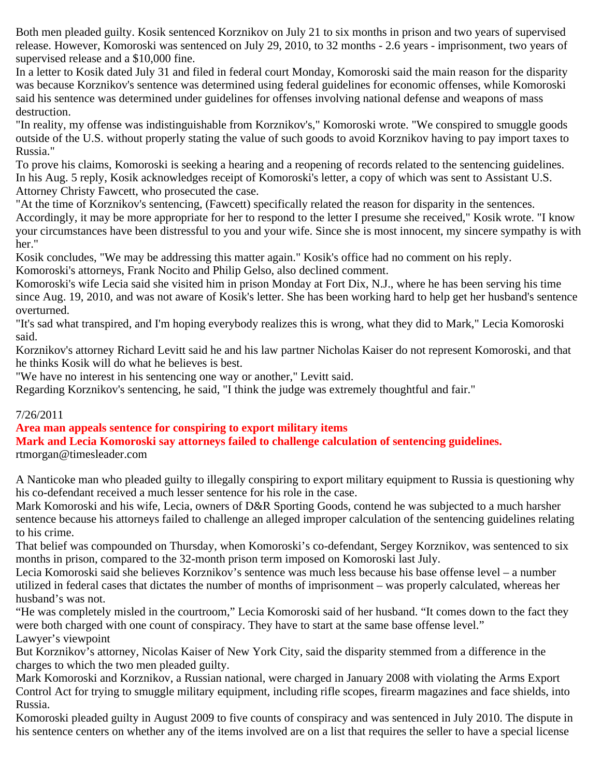Both men pleaded guilty. Kosik sentenced Korznikov on July 21 to six months in prison and two years of supervised release. However, Komoroski was sentenced on July 29, 2010, to 32 months - 2.6 years - imprisonment, two years of supervised release and a \$10,000 fine.

In a letter to Kosik dated July 31 and filed in federal court Monday, Komoroski said the main reason for the disparity was because Korznikov's sentence was determined using federal guidelines for economic offenses, while Komoroski said his sentence was determined under guidelines for offenses involving national defense and weapons of mass destruction.

"In reality, my offense was indistinguishable from Korznikov's," Komoroski wrote. "We conspired to smuggle goods outside of the U.S. without properly stating the value of such goods to avoid Korznikov having to pay import taxes to Russia."

To prove his claims, Komoroski is seeking a hearing and a reopening of records related to the sentencing guidelines. In his Aug. 5 reply, Kosik acknowledges receipt of Komoroski's letter, a copy of which was sent to Assistant U.S. Attorney Christy Fawcett, who prosecuted the case.

"At the time of Korznikov's sentencing, (Fawcett) specifically related the reason for disparity in the sentences.

Accordingly, it may be more appropriate for her to respond to the letter I presume she received," Kosik wrote. "I know your circumstances have been distressful to you and your wife. Since she is most innocent, my sincere sympathy is with her."

Kosik concludes, "We may be addressing this matter again." Kosik's office had no comment on his reply. Komoroski's attorneys, Frank Nocito and Philip Gelso, also declined comment.

Komoroski's wife Lecia said she visited him in prison Monday at Fort Dix, N.J., where he has been serving his time since Aug. 19, 2010, and was not aware of Kosik's letter. She has been working hard to help get her husband's sentence overturned.

"It's sad what transpired, and I'm hoping everybody realizes this is wrong, what they did to Mark," Lecia Komoroski said.

Korznikov's attorney Richard Levitt said he and his law partner Nicholas Kaiser do not represent Komoroski, and that he thinks Kosik will do what he believes is best.

"We have no interest in his sentencing one way or another," Levitt said.

Regarding Korznikov's sentencing, he said, "I think the judge was extremely thoughtful and fair."

### 7/26/2011

### **Area man appeals sentence for conspiring to export military items**

**Mark and Lecia Komoroski say attorneys failed to challenge calculation of sentencing guidelines.** rtmorgan@timesleader.com

A Nanticoke man who pleaded guilty to illegally conspiring to export military equipment to Russia is questioning why his co-defendant received a much lesser sentence for his role in the case.

Mark Komoroski and his wife, Lecia, owners of D&R Sporting Goods, contend he was subjected to a much harsher sentence because his attorneys failed to challenge an alleged improper calculation of the sentencing guidelines relating to his crime.

That belief was compounded on Thursday, when Komoroski's co-defendant, Sergey Korznikov, was sentenced to six months in prison, compared to the 32-month prison term imposed on Komoroski last July.

Lecia Komoroski said she believes Korznikov's sentence was much less because his base offense level – a number utilized in federal cases that dictates the number of months of imprisonment – was properly calculated, whereas her husband's was not.

"He was completely misled in the courtroom," Lecia Komoroski said of her husband. "It comes down to the fact they were both charged with one count of conspiracy. They have to start at the same base offense level." Lawyer's viewpoint

But Korznikov's attorney, Nicolas Kaiser of New York City, said the disparity stemmed from a difference in the charges to which the two men pleaded guilty.

Mark Komoroski and Korznikov, a Russian national, were charged in January 2008 with violating the Arms Export Control Act for trying to smuggle military equipment, including rifle scopes, firearm magazines and face shields, into Russia.

Komoroski pleaded guilty in August 2009 to five counts of conspiracy and was sentenced in July 2010. The dispute in his sentence centers on whether any of the items involved are on a list that requires the seller to have a special license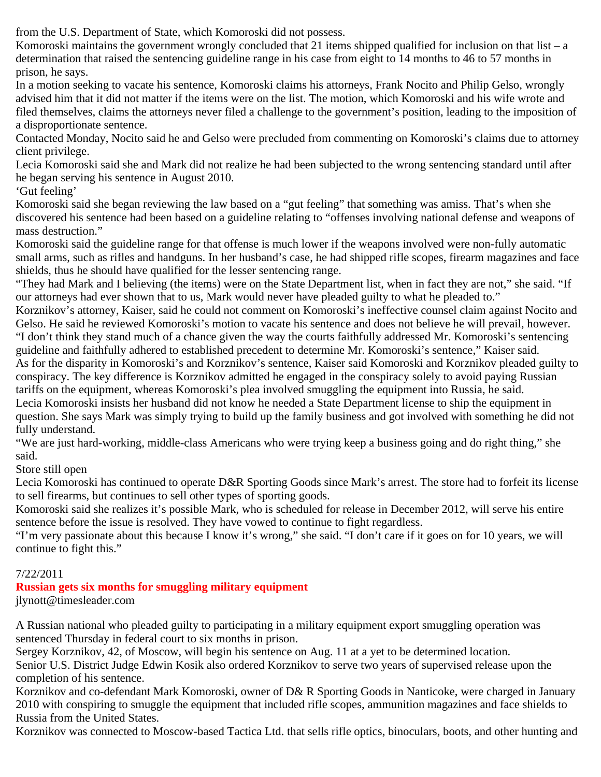from the U.S. Department of State, which Komoroski did not possess.

Komoroski maintains the government wrongly concluded that 21 items shipped qualified for inclusion on that list – a determination that raised the sentencing guideline range in his case from eight to 14 months to 46 to 57 months in prison, he says.

In a motion seeking to vacate his sentence, Komoroski claims his attorneys, Frank Nocito and Philip Gelso, wrongly advised him that it did not matter if the items were on the list. The motion, which Komoroski and his wife wrote and filed themselves, claims the attorneys never filed a challenge to the government's position, leading to the imposition of a disproportionate sentence.

Contacted Monday, Nocito said he and Gelso were precluded from commenting on Komoroski's claims due to attorney client privilege.

Lecia Komoroski said she and Mark did not realize he had been subjected to the wrong sentencing standard until after he began serving his sentence in August 2010.

'Gut feeling'

Komoroski said she began reviewing the law based on a "gut feeling" that something was amiss. That's when she discovered his sentence had been based on a guideline relating to "offenses involving national defense and weapons of mass destruction."

Komoroski said the guideline range for that offense is much lower if the weapons involved were non-fully automatic small arms, such as rifles and handguns. In her husband's case, he had shipped rifle scopes, firearm magazines and face shields, thus he should have qualified for the lesser sentencing range.

"They had Mark and I believing (the items) were on the State Department list, when in fact they are not," she said. "If our attorneys had ever shown that to us, Mark would never have pleaded guilty to what he pleaded to."

Korznikov's attorney, Kaiser, said he could not comment on Komoroski's ineffective counsel claim against Nocito and Gelso. He said he reviewed Komoroski's motion to vacate his sentence and does not believe he will prevail, however. "I don't think they stand much of a chance given the way the courts faithfully addressed Mr. Komoroski's sentencing

guideline and faithfully adhered to established precedent to determine Mr. Komoroski's sentence," Kaiser said. As for the disparity in Komoroski's and Korznikov's sentence, Kaiser said Komoroski and Korznikov pleaded guilty to conspiracy. The key difference is Korznikov admitted he engaged in the conspiracy solely to avoid paying Russian tariffs on the equipment, whereas Komoroski's plea involved smuggling the equipment into Russia, he said.

Lecia Komoroski insists her husband did not know he needed a State Department license to ship the equipment in question. She says Mark was simply trying to build up the family business and got involved with something he did not fully understand.

"We are just hard-working, middle-class Americans who were trying keep a business going and do right thing," she said.

Store still open

Lecia Komoroski has continued to operate D&R Sporting Goods since Mark's arrest. The store had to forfeit its license to sell firearms, but continues to sell other types of sporting goods.

Komoroski said she realizes it's possible Mark, who is scheduled for release in December 2012, will serve his entire sentence before the issue is resolved. They have vowed to continue to fight regardless.

"I'm very passionate about this because I know it's wrong," she said. "I don't care if it goes on for 10 years, we will continue to fight this."

## 7/22/2011

## **Russian gets six months for smuggling military equipment**

jlynott@timesleader.com

A Russian national who pleaded guilty to participating in a military equipment export smuggling operation was sentenced Thursday in federal court to six months in prison.

Sergey Korznikov, 42, of Moscow, will begin his sentence on Aug. 11 at a yet to be determined location.

Senior U.S. District Judge Edwin Kosik also ordered Korznikov to serve two years of supervised release upon the completion of his sentence.

Korznikov and co-defendant Mark Komoroski, owner of D& R Sporting Goods in Nanticoke, were charged in January 2010 with conspiring to smuggle the equipment that included rifle scopes, ammunition magazines and face shields to Russia from the United States.

Korznikov was connected to Moscow-based Tactica Ltd. that sells rifle optics, binoculars, boots, and other hunting and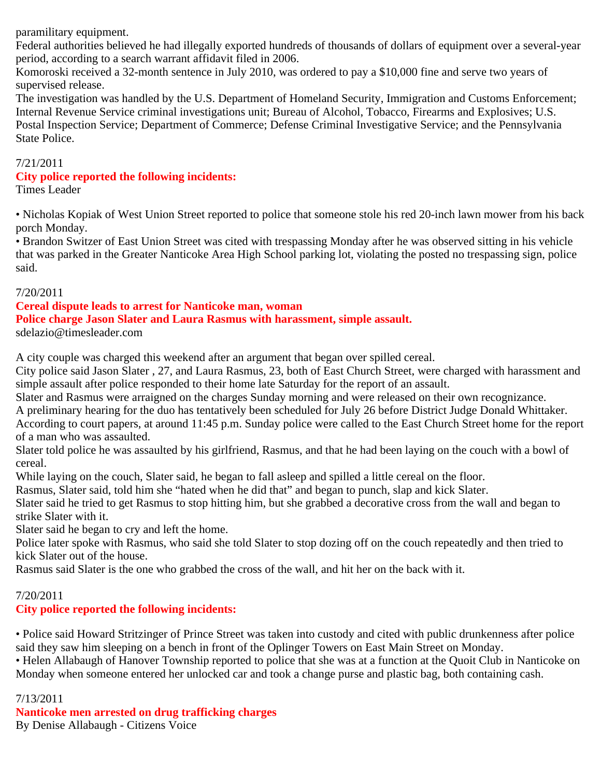paramilitary equipment.

Federal authorities believed he had illegally exported hundreds of thousands of dollars of equipment over a several-year period, according to a search warrant affidavit filed in 2006.

Komoroski received a 32-month sentence in July 2010, was ordered to pay a \$10,000 fine and serve two years of supervised release.

The investigation was handled by the U.S. Department of Homeland Security, Immigration and Customs Enforcement; Internal Revenue Service criminal investigations unit; Bureau of Alcohol, Tobacco, Firearms and Explosives; U.S. Postal Inspection Service; Department of Commerce; Defense Criminal Investigative Service; and the Pennsylvania State Police.

#### 7/21/2011

#### **City police reported the following incidents:**

Times Leader

• Nicholas Kopiak of West Union Street reported to police that someone stole his red 20-inch lawn mower from his back porch Monday.

• Brandon Switzer of East Union Street was cited with trespassing Monday after he was observed sitting in his vehicle that was parked in the Greater Nanticoke Area High School parking lot, violating the posted no trespassing sign, police said.

#### 7/20/2011

#### **Cereal dispute leads to arrest for Nanticoke man, woman**

**Police charge Jason Slater and Laura Rasmus with harassment, simple assault.**

sdelazio@timesleader.com

A city couple was charged this weekend after an argument that began over spilled cereal.

City police said Jason Slater , 27, and Laura Rasmus, 23, both of East Church Street, were charged with harassment and simple assault after police responded to their home late Saturday for the report of an assault.

Slater and Rasmus were arraigned on the charges Sunday morning and were released on their own recognizance.

A preliminary hearing for the duo has tentatively been scheduled for July 26 before District Judge Donald Whittaker. According to court papers, at around 11:45 p.m. Sunday police were called to the East Church Street home for the report

of a man who was assaulted.

Slater told police he was assaulted by his girlfriend, Rasmus, and that he had been laying on the couch with a bowl of cereal.

While laying on the couch, Slater said, he began to fall asleep and spilled a little cereal on the floor.

Rasmus, Slater said, told him she "hated when he did that" and began to punch, slap and kick Slater.

Slater said he tried to get Rasmus to stop hitting him, but she grabbed a decorative cross from the wall and began to strike Slater with it.

Slater said he began to cry and left the home.

Police later spoke with Rasmus, who said she told Slater to stop dozing off on the couch repeatedly and then tried to kick Slater out of the house.

Rasmus said Slater is the one who grabbed the cross of the wall, and hit her on the back with it.

### 7/20/2011

## **City police reported the following incidents:**

• Police said Howard Stritzinger of Prince Street was taken into custody and cited with public drunkenness after police said they saw him sleeping on a bench in front of the Oplinger Towers on East Main Street on Monday.

• Helen Allabaugh of Hanover Township reported to police that she was at a function at the Quoit Club in Nanticoke on Monday when someone entered her unlocked car and took a change purse and plastic bag, both containing cash.

#### 7/13/2011

**Nanticoke men arrested on drug trafficking charges**

By Denise Allabaugh - Citizens Voice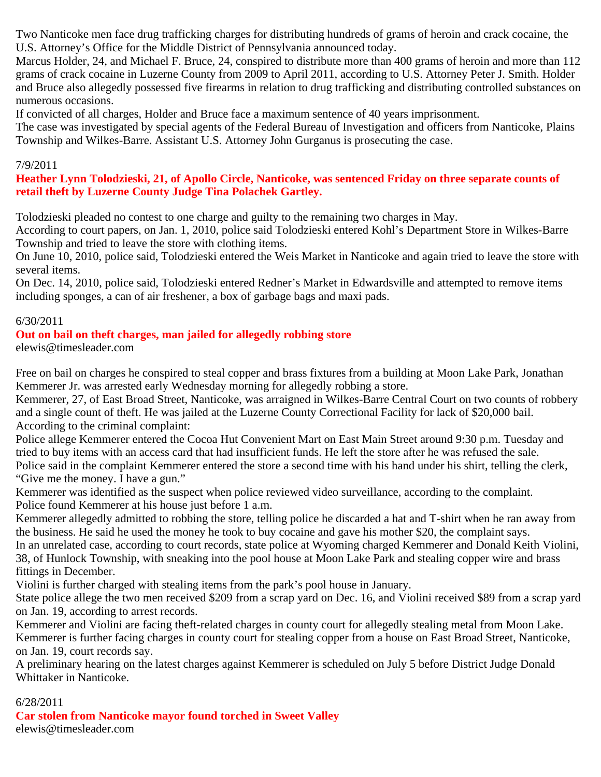Two Nanticoke men face drug trafficking charges for distributing hundreds of grams of heroin and crack cocaine, the U.S. Attorney's Office for the Middle District of Pennsylvania announced today.

Marcus Holder, 24, and Michael F. Bruce, 24, conspired to distribute more than 400 grams of heroin and more than 112 grams of crack cocaine in Luzerne County from 2009 to April 2011, according to U.S. Attorney Peter J. Smith. Holder and Bruce also allegedly possessed five firearms in relation to drug trafficking and distributing controlled substances on numerous occasions.

If convicted of all charges, Holder and Bruce face a maximum sentence of 40 years imprisonment.

The case was investigated by special agents of the Federal Bureau of Investigation and officers from Nanticoke, Plains Township and Wilkes-Barre. Assistant U.S. Attorney John Gurganus is prosecuting the case.

#### 7/9/2011

#### **Heather Lynn Tolodzieski, 21, of Apollo Circle, Nanticoke, was sentenced Friday on three separate counts of retail theft by Luzerne County Judge Tina Polachek Gartley.**

Tolodzieski pleaded no contest to one charge and guilty to the remaining two charges in May.

According to court papers, on Jan. 1, 2010, police said Tolodzieski entered Kohl's Department Store in Wilkes-Barre Township and tried to leave the store with clothing items.

On June 10, 2010, police said, Tolodzieski entered the Weis Market in Nanticoke and again tried to leave the store with several items.

On Dec. 14, 2010, police said, Tolodzieski entered Redner's Market in Edwardsville and attempted to remove items including sponges, a can of air freshener, a box of garbage bags and maxi pads.

### 6/30/2011

### **Out on bail on theft charges, man jailed for allegedly robbing store**

elewis@timesleader.com

Free on bail on charges he conspired to steal copper and brass fixtures from a building at Moon Lake Park, Jonathan Kemmerer Jr. was arrested early Wednesday morning for allegedly robbing a store.

Kemmerer, 27, of East Broad Street, Nanticoke, was arraigned in Wilkes-Barre Central Court on two counts of robbery and a single count of theft. He was jailed at the Luzerne County Correctional Facility for lack of \$20,000 bail. According to the criminal complaint:

Police allege Kemmerer entered the Cocoa Hut Convenient Mart on East Main Street around 9:30 p.m. Tuesday and tried to buy items with an access card that had insufficient funds. He left the store after he was refused the sale. Police said in the complaint Kemmerer entered the store a second time with his hand under his shirt, telling the clerk, "Give me the money. I have a gun."

Kemmerer was identified as the suspect when police reviewed video surveillance, according to the complaint. Police found Kemmerer at his house just before 1 a.m.

Kemmerer allegedly admitted to robbing the store, telling police he discarded a hat and T-shirt when he ran away from the business. He said he used the money he took to buy cocaine and gave his mother \$20, the complaint says. In an unrelated case, according to court records, state police at Wyoming charged Kemmerer and Donald Keith Violini, 38, of Hunlock Township, with sneaking into the pool house at Moon Lake Park and stealing copper wire and brass fittings in December.

Violini is further charged with stealing items from the park's pool house in January.

State police allege the two men received \$209 from a scrap yard on Dec. 16, and Violini received \$89 from a scrap yard on Jan. 19, according to arrest records.

Kemmerer and Violini are facing theft-related charges in county court for allegedly stealing metal from Moon Lake. Kemmerer is further facing charges in county court for stealing copper from a house on East Broad Street, Nanticoke, on Jan. 19, court records say.

A preliminary hearing on the latest charges against Kemmerer is scheduled on July 5 before District Judge Donald Whittaker in Nanticoke.

#### 6/28/2011

**Car stolen from Nanticoke mayor found torched in Sweet Valley** elewis@timesleader.com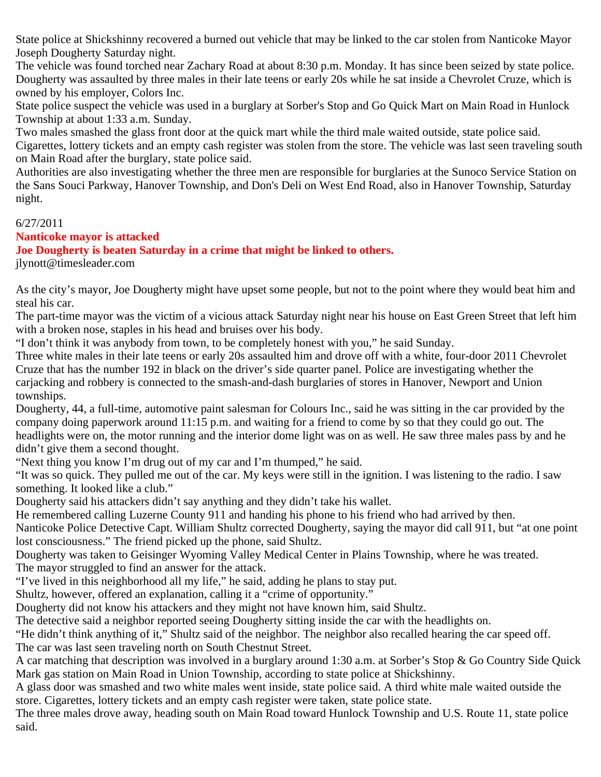State police at Shickshinny recovered a burned out vehicle that may be linked to the car stolen from Nanticoke Mayor Joseph Dougherty Saturday night.

The vehicle was found torched near Zachary Road at about 8:30 p.m. Monday. It has since been seized by state police. Dougherty was assaulted by three males in their late teens or early 20s while he sat inside a Chevrolet Cruze, which is owned by his employer, Colors Inc.

State police suspect the vehicle was used in a burglary at Sorber's Stop and Go Quick Mart on Main Road in Hunlock Township at about 1:33 a.m. Sunday.

Two males smashed the glass front door at the quick mart while the third male waited outside, state police said.

Cigarettes, lottery tickets and an empty cash register was stolen from the store. The vehicle was last seen traveling south on Main Road after the burglary, state police said.

Authorities are also investigating whether the three men are responsible for burglaries at the Sunoco Service Station on the Sans Souci Parkway, Hanover Township, and Don's Deli on West End Road, also in Hanover Township, Saturday night.

### 6/27/2011

### **Nanticoke mayor is attacked**

**Joe Dougherty is beaten Saturday in a crime that might be linked to others.**

jlynott@timesleader.com

As the city's mayor, Joe Dougherty might have upset some people, but not to the point where they would beat him and steal his car.

The part-time mayor was the victim of a vicious attack Saturday night near his house on East Green Street that left him with a broken nose, staples in his head and bruises over his body.

"I don't think it was anybody from town, to be completely honest with you," he said Sunday.

Three white males in their late teens or early 20s assaulted him and drove off with a white, four-door 2011 Chevrolet Cruze that has the number 192 in black on the driver's side quarter panel. Police are investigating whether the carjacking and robbery is connected to the smash-and-dash burglaries of stores in Hanover, Newport and Union townships.

Dougherty, 44, a full-time, automotive paint salesman for Colours Inc., said he was sitting in the car provided by the company doing paperwork around 11:15 p.m. and waiting for a friend to come by so that they could go out. The headlights were on, the motor running and the interior dome light was on as well. He saw three males pass by and he didn't give them a second thought.

"Next thing you know I'm drug out of my car and I'm thumped," he said.

"It was so quick. They pulled me out of the car. My keys were still in the ignition. I was listening to the radio. I saw something. It looked like a club."

Dougherty said his attackers didn't say anything and they didn't take his wallet.

He remembered calling Luzerne County 911 and handing his phone to his friend who had arrived by then.

Nanticoke Police Detective Capt. William Shultz corrected Dougherty, saying the mayor did call 911, but "at one point lost consciousness." The friend picked up the phone, said Shultz.

Dougherty was taken to Geisinger Wyoming Valley Medical Center in Plains Township, where he was treated. The mayor struggled to find an answer for the attack.

"I've lived in this neighborhood all my life," he said, adding he plans to stay put.

Shultz, however, offered an explanation, calling it a "crime of opportunity."

Dougherty did not know his attackers and they might not have known him, said Shultz.

The detective said a neighbor reported seeing Dougherty sitting inside the car with the headlights on.

"He didn't think anything of it," Shultz said of the neighbor. The neighbor also recalled hearing the car speed off. The car was last seen traveling north on South Chestnut Street.

A car matching that description was involved in a burglary around 1:30 a.m. at Sorber's Stop & Go Country Side Quick Mark gas station on Main Road in Union Township, according to state police at Shickshinny.

A glass door was smashed and two white males went inside, state police said. A third white male waited outside the store. Cigarettes, lottery tickets and an empty cash register were taken, state police state.

The three males drove away, heading south on Main Road toward Hunlock Township and U.S. Route 11, state police said.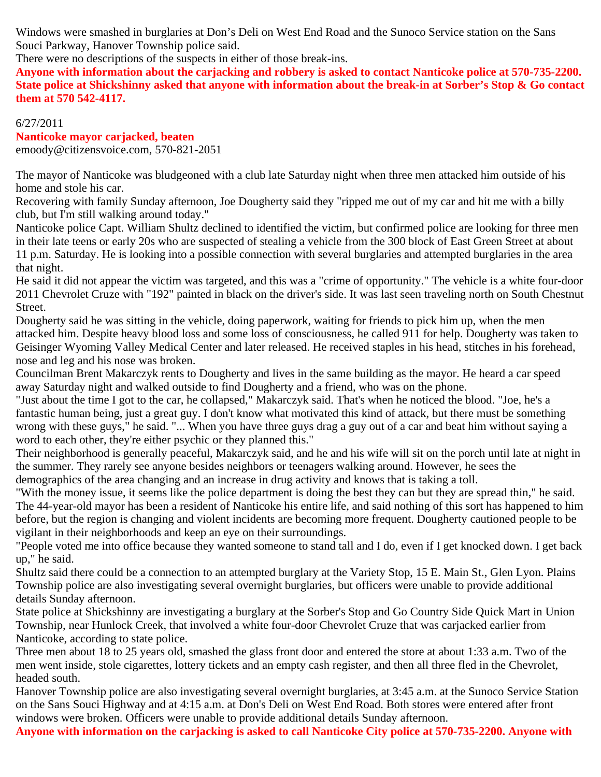Windows were smashed in burglaries at Don's Deli on West End Road and the Sunoco Service station on the Sans Souci Parkway, Hanover Township police said.

There were no descriptions of the suspects in either of those break-ins.

**Anyone with information about the carjacking and robbery is asked to contact Nanticoke police at 570-735-2200. State police at Shickshinny asked that anyone with information about the break-in at Sorber's Stop & Go contact them at 570 542-4117.**

#### 6/27/2011

**Nanticoke mayor carjacked, beaten**

emoody@citizensvoice.com, 570-821-2051

The mayor of Nanticoke was bludgeoned with a club late Saturday night when three men attacked him outside of his home and stole his car.

Recovering with family Sunday afternoon, Joe Dougherty said they "ripped me out of my car and hit me with a billy club, but I'm still walking around today."

Nanticoke police Capt. William Shultz declined to identified the victim, but confirmed police are looking for three men in their late teens or early 20s who are suspected of stealing a vehicle from the 300 block of East Green Street at about 11 p.m. Saturday. He is looking into a possible connection with several burglaries and attempted burglaries in the area that night.

He said it did not appear the victim was targeted, and this was a "crime of opportunity." The vehicle is a white four-door 2011 Chevrolet Cruze with "192" painted in black on the driver's side. It was last seen traveling north on South Chestnut Street.

Dougherty said he was sitting in the vehicle, doing paperwork, waiting for friends to pick him up, when the men attacked him. Despite heavy blood loss and some loss of consciousness, he called 911 for help. Dougherty was taken to Geisinger Wyoming Valley Medical Center and later released. He received staples in his head, stitches in his forehead, nose and leg and his nose was broken.

Councilman Brent Makarczyk rents to Dougherty and lives in the same building as the mayor. He heard a car speed away Saturday night and walked outside to find Dougherty and a friend, who was on the phone.

"Just about the time I got to the car, he collapsed," Makarczyk said. That's when he noticed the blood. "Joe, he's a fantastic human being, just a great guy. I don't know what motivated this kind of attack, but there must be something wrong with these guys," he said. "... When you have three guys drag a guy out of a car and beat him without saying a word to each other, they're either psychic or they planned this."

Their neighborhood is generally peaceful, Makarczyk said, and he and his wife will sit on the porch until late at night in the summer. They rarely see anyone besides neighbors or teenagers walking around. However, he sees the demographics of the area changing and an increase in drug activity and knows that is taking a toll.

"With the money issue, it seems like the police department is doing the best they can but they are spread thin," he said. The 44-year-old mayor has been a resident of Nanticoke his entire life, and said nothing of this sort has happened to him before, but the region is changing and violent incidents are becoming more frequent. Dougherty cautioned people to be vigilant in their neighborhoods and keep an eye on their surroundings.

"People voted me into office because they wanted someone to stand tall and I do, even if I get knocked down. I get back up," he said.

Shultz said there could be a connection to an attempted burglary at the Variety Stop, 15 E. Main St., Glen Lyon. Plains Township police are also investigating several overnight burglaries, but officers were unable to provide additional details Sunday afternoon.

State police at Shickshinny are investigating a burglary at the Sorber's Stop and Go Country Side Quick Mart in Union Township, near Hunlock Creek, that involved a white four-door Chevrolet Cruze that was carjacked earlier from Nanticoke, according to state police.

Three men about 18 to 25 years old, smashed the glass front door and entered the store at about 1:33 a.m. Two of the men went inside, stole cigarettes, lottery tickets and an empty cash register, and then all three fled in the Chevrolet, headed south.

Hanover Township police are also investigating several overnight burglaries, at 3:45 a.m. at the Sunoco Service Station on the Sans Souci Highway and at 4:15 a.m. at Don's Deli on West End Road. Both stores were entered after front windows were broken. Officers were unable to provide additional details Sunday afternoon.

**Anyone with information on the carjacking is asked to call Nanticoke City police at 570-735-2200. Anyone with**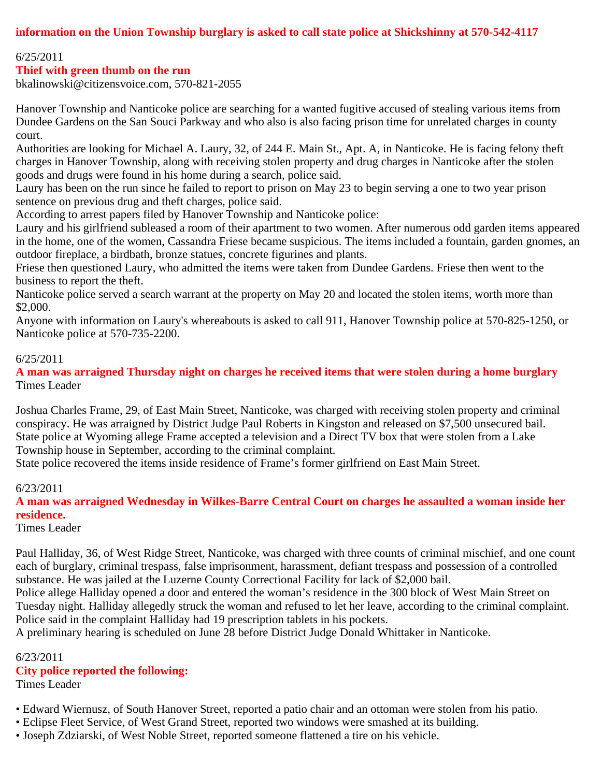## **information on the Union Township burglary is asked to call state police at Shickshinny at 570-542-4117**

#### 6/25/2011

#### **Thief with green thumb on the run**

bkalinowski@citizensvoice.com, 570-821-2055

Hanover Township and Nanticoke police are searching for a wanted fugitive accused of stealing various items from Dundee Gardens on the San Souci Parkway and who also is also facing prison time for unrelated charges in county court.

Authorities are looking for Michael A. Laury, 32, of 244 E. Main St., Apt. A, in Nanticoke. He is facing felony theft charges in Hanover Township, along with receiving stolen property and drug charges in Nanticoke after the stolen goods and drugs were found in his home during a search, police said.

Laury has been on the run since he failed to report to prison on May 23 to begin serving a one to two year prison sentence on previous drug and theft charges, police said.

According to arrest papers filed by Hanover Township and Nanticoke police:

Laury and his girlfriend subleased a room of their apartment to two women. After numerous odd garden items appeared in the home, one of the women, Cassandra Friese became suspicious. The items included a fountain, garden gnomes, an outdoor fireplace, a birdbath, bronze statues, concrete figurines and plants.

Friese then questioned Laury, who admitted the items were taken from Dundee Gardens. Friese then went to the business to report the theft.

Nanticoke police served a search warrant at the property on May 20 and located the stolen items, worth more than \$2,000.

Anyone with information on Laury's whereabouts is asked to call 911, Hanover Township police at 570-825-1250, or Nanticoke police at 570-735-2200.

#### 6/25/2011

**A man was arraigned Thursday night on charges he received items that were stolen during a home burglary** Times Leader

Joshua Charles Frame, 29, of East Main Street, Nanticoke, was charged with receiving stolen property and criminal conspiracy. He was arraigned by District Judge Paul Roberts in Kingston and released on \$7,500 unsecured bail. State police at Wyoming allege Frame accepted a television and a Direct TV box that were stolen from a Lake Township house in September, according to the criminal complaint.

State police recovered the items inside residence of Frame's former girlfriend on East Main Street.

#### 6/23/2011

**A man was arraigned Wednesday in Wilkes-Barre Central Court on charges he assaulted a woman inside her residence.**

Times Leader

Paul Halliday, 36, of West Ridge Street, Nanticoke, was charged with three counts of criminal mischief, and one count each of burglary, criminal trespass, false imprisonment, harassment, defiant trespass and possession of a controlled substance. He was jailed at the Luzerne County Correctional Facility for lack of \$2,000 bail.

Police allege Halliday opened a door and entered the woman's residence in the 300 block of West Main Street on Tuesday night. Halliday allegedly struck the woman and refused to let her leave, according to the criminal complaint. Police said in the complaint Halliday had 19 prescription tablets in his pockets.

A preliminary hearing is scheduled on June 28 before District Judge Donald Whittaker in Nanticoke.

6/23/2011 **City police reported the following:** Times Leader

• Edward Wiernusz, of South Hanover Street, reported a patio chair and an ottoman were stolen from his patio.

- Eclipse Fleet Service, of West Grand Street, reported two windows were smashed at its building.
- Joseph Zdziarski, of West Noble Street, reported someone flattened a tire on his vehicle.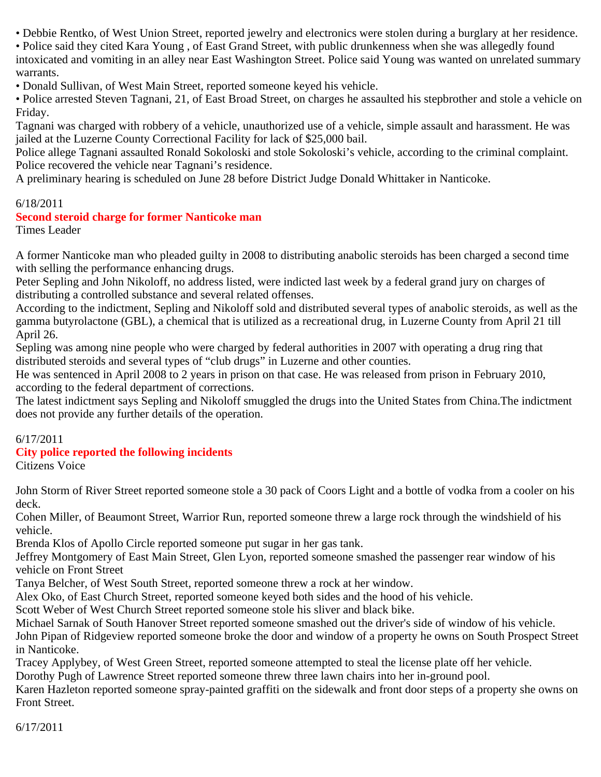• Debbie Rentko, of West Union Street, reported jewelry and electronics were stolen during a burglary at her residence.

• Police said they cited Kara Young , of East Grand Street, with public drunkenness when she was allegedly found intoxicated and vomiting in an alley near East Washington Street. Police said Young was wanted on unrelated summary warrants.

• Donald Sullivan, of West Main Street, reported someone keyed his vehicle.

• Police arrested Steven Tagnani, 21, of East Broad Street, on charges he assaulted his stepbrother and stole a vehicle on Friday.

Tagnani was charged with robbery of a vehicle, unauthorized use of a vehicle, simple assault and harassment. He was jailed at the Luzerne County Correctional Facility for lack of \$25,000 bail.

Police allege Tagnani assaulted Ronald Sokoloski and stole Sokoloski's vehicle, according to the criminal complaint. Police recovered the vehicle near Tagnani's residence.

A preliminary hearing is scheduled on June 28 before District Judge Donald Whittaker in Nanticoke.

### 6/18/2011

## **Second steroid charge for former Nanticoke man**

Times Leader

A former Nanticoke man who pleaded guilty in 2008 to distributing anabolic steroids has been charged a second time with selling the performance enhancing drugs.

Peter Sepling and John Nikoloff, no address listed, were indicted last week by a federal grand jury on charges of distributing a controlled substance and several related offenses.

According to the indictment, Sepling and Nikoloff sold and distributed several types of anabolic steroids, as well as the gamma butyrolactone (GBL), a chemical that is utilized as a recreational drug, in Luzerne County from April 21 till April 26.

Sepling was among nine people who were charged by federal authorities in 2007 with operating a drug ring that distributed steroids and several types of "club drugs" in Luzerne and other counties.

He was sentenced in April 2008 to 2 years in prison on that case. He was released from prison in February 2010, according to the federal department of corrections.

The latest indictment says Sepling and Nikoloff smuggled the drugs into the United States from China.The indictment does not provide any further details of the operation.

### 6/17/2011

### **City police reported the following incidents**

Citizens Voice

John Storm of River Street reported someone stole a 30 pack of Coors Light and a bottle of vodka from a cooler on his deck.

Cohen Miller, of Beaumont Street, Warrior Run, reported someone threw a large rock through the windshield of his vehicle.

Brenda Klos of Apollo Circle reported someone put sugar in her gas tank.

Jeffrey Montgomery of East Main Street, Glen Lyon, reported someone smashed the passenger rear window of his vehicle on Front Street

Tanya Belcher, of West South Street, reported someone threw a rock at her window.

Alex Oko, of East Church Street, reported someone keyed both sides and the hood of his vehicle.

Scott Weber of West Church Street reported someone stole his sliver and black bike.

Michael Sarnak of South Hanover Street reported someone smashed out the driver's side of window of his vehicle.

John Pipan of Ridgeview reported someone broke the door and window of a property he owns on South Prospect Street in Nanticoke.

Tracey Applybey, of West Green Street, reported someone attempted to steal the license plate off her vehicle.

Dorothy Pugh of Lawrence Street reported someone threw three lawn chairs into her in-ground pool.

Karen Hazleton reported someone spray-painted graffiti on the sidewalk and front door steps of a property she owns on Front Street.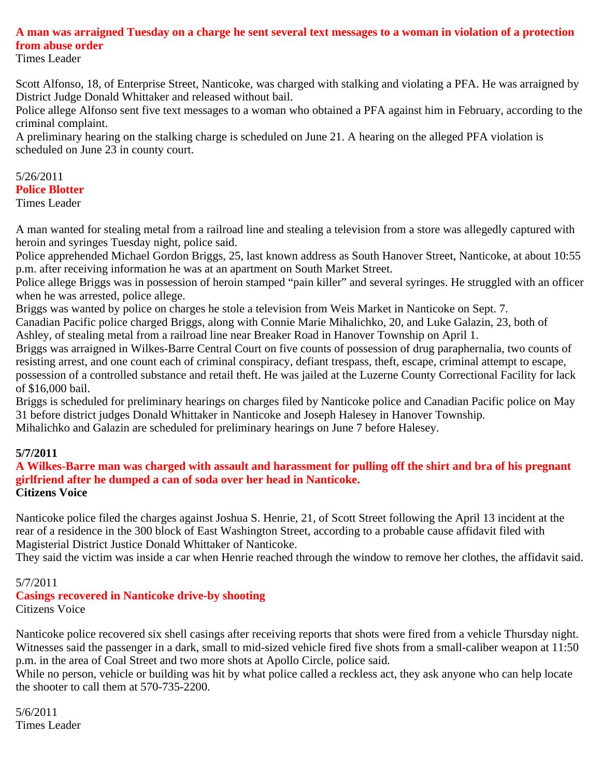## **A man was arraigned Tuesday on a charge he sent several text messages to a woman in violation of a protection from abuse order**

Times Leader

Scott Alfonso, 18, of Enterprise Street, Nanticoke, was charged with stalking and violating a PFA. He was arraigned by District Judge Donald Whittaker and released without bail.

Police allege Alfonso sent five text messages to a woman who obtained a PFA against him in February, according to the criminal complaint.

A preliminary hearing on the stalking charge is scheduled on June 21. A hearing on the alleged PFA violation is scheduled on June 23 in county court.

5/26/2011 **Police Blotter** Times Leader

A man wanted for stealing metal from a railroad line and stealing a television from a store was allegedly captured with heroin and syringes Tuesday night, police said.

Police apprehended Michael Gordon Briggs, 25, last known address as South Hanover Street, Nanticoke, at about 10:55 p.m. after receiving information he was at an apartment on South Market Street.

Police allege Briggs was in possession of heroin stamped "pain killer" and several syringes. He struggled with an officer when he was arrested, police allege.

Briggs was wanted by police on charges he stole a television from Weis Market in Nanticoke on Sept. 7.

Canadian Pacific police charged Briggs, along with Connie Marie Mihalichko, 20, and Luke Galazin, 23, both of Ashley, of stealing metal from a railroad line near Breaker Road in Hanover Township on April 1.

Briggs was arraigned in Wilkes-Barre Central Court on five counts of possession of drug paraphernalia, two counts of resisting arrest, and one count each of criminal conspiracy, defiant trespass, theft, escape, criminal attempt to escape, possession of a controlled substance and retail theft. He was jailed at the Luzerne County Correctional Facility for lack

of \$16,000 bail.

Briggs is scheduled for preliminary hearings on charges filed by Nanticoke police and Canadian Pacific police on May 31 before district judges Donald Whittaker in Nanticoke and Joseph Halesey in Hanover Township.

Mihalichko and Galazin are scheduled for preliminary hearings on June 7 before Halesey.

## **5/7/2011**

#### **A Wilkes-Barre man was charged with assault and harassment for pulling off the shirt and bra of his pregnant girlfriend after he dumped a can of soda over her head in Nanticoke. Citizens Voice**

Nanticoke police filed the charges against Joshua S. Henrie, 21, of Scott Street following the April 13 incident at the rear of a residence in the 300 block of East Washington Street, according to a probable cause affidavit filed with Magisterial District Justice Donald Whittaker of Nanticoke.

They said the victim was inside a car when Henrie reached through the window to remove her clothes, the affidavit said.

## 5/7/2011

#### **Casings recovered in Nanticoke drive-by shooting** Citizens Voice

Nanticoke police recovered six shell casings after receiving reports that shots were fired from a vehicle Thursday night. Witnesses said the passenger in a dark, small to mid-sized vehicle fired five shots from a small-caliber weapon at 11:50 p.m. in the area of Coal Street and two more shots at Apollo Circle, police said.

While no person, vehicle or building was hit by what police called a reckless act, they ask anyone who can help locate the shooter to call them at 570-735-2200.

5/6/2011 Times Leader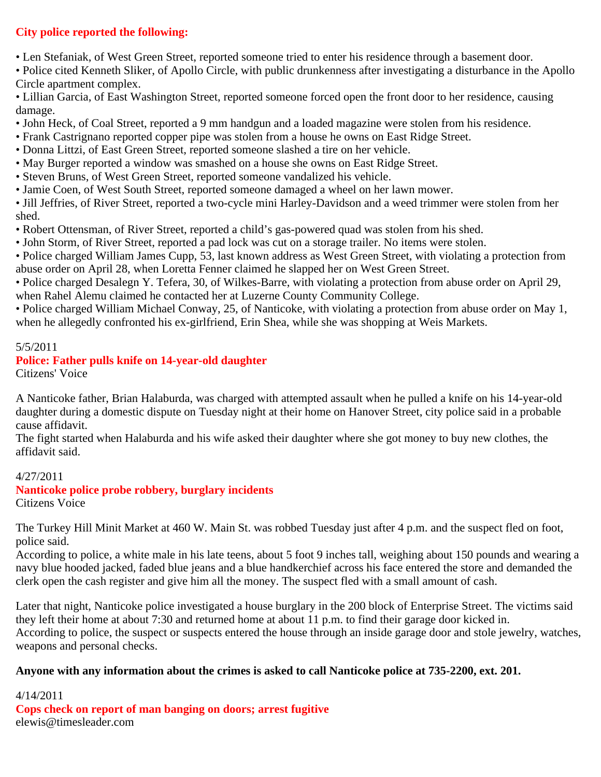## **City police reported the following:**

• Len Stefaniak, of West Green Street, reported someone tried to enter his residence through a basement door.

• Police cited Kenneth Sliker, of Apollo Circle, with public drunkenness after investigating a disturbance in the Apollo Circle apartment complex.

• Lillian Garcia, of East Washington Street, reported someone forced open the front door to her residence, causing damage.

- John Heck, of Coal Street, reported a 9 mm handgun and a loaded magazine were stolen from his residence.
- Frank Castrignano reported copper pipe was stolen from a house he owns on East Ridge Street.
- Donna Littzi, of East Green Street, reported someone slashed a tire on her vehicle.
- May Burger reported a window was smashed on a house she owns on East Ridge Street.
- Steven Bruns, of West Green Street, reported someone vandalized his vehicle.
- Jamie Coen, of West South Street, reported someone damaged a wheel on her lawn mower.

• Jill Jeffries, of River Street, reported a two-cycle mini Harley-Davidson and a weed trimmer were stolen from her shed.

- Robert Ottensman, of River Street, reported a child's gas-powered quad was stolen from his shed.
- John Storm, of River Street, reported a pad lock was cut on a storage trailer. No items were stolen.

• Police charged William James Cupp, 53, last known address as West Green Street, with violating a protection from abuse order on April 28, when Loretta Fenner claimed he slapped her on West Green Street.

• Police charged Desalegn Y. Tefera, 30, of Wilkes-Barre, with violating a protection from abuse order on April 29, when Rahel Alemu claimed he contacted her at Luzerne County Community College.

• Police charged William Michael Conway, 25, of Nanticoke, with violating a protection from abuse order on May 1, when he allegedly confronted his ex-girlfriend, Erin Shea, while she was shopping at Weis Markets.

#### 5/5/2011

### **Police: Father pulls knife on 14-year-old daughter**

Citizens' Voice

A Nanticoke father, Brian Halaburda, was charged with attempted assault when he pulled a knife on his 14-year-old daughter during a domestic dispute on Tuesday night at their home on Hanover Street, city police said in a probable cause affidavit.

The fight started when Halaburda and his wife asked their daughter where she got money to buy new clothes, the affidavit said.

#### 4/27/2011

# **Nanticoke police probe robbery, burglary incidents**

Citizens Voice

The Turkey Hill Minit Market at 460 W. Main St. was robbed Tuesday just after 4 p.m. and the suspect fled on foot, police said.

According to police, a white male in his late teens, about 5 foot 9 inches tall, weighing about 150 pounds and wearing a navy blue hooded jacked, faded blue jeans and a blue handkerchief across his face entered the store and demanded the clerk open the cash register and give him all the money. The suspect fled with a small amount of cash.

Later that night, Nanticoke police investigated a house burglary in the 200 block of Enterprise Street. The victims said they left their home at about 7:30 and returned home at about 11 p.m. to find their garage door kicked in. According to police, the suspect or suspects entered the house through an inside garage door and stole jewelry, watches, weapons and personal checks.

#### **Anyone with any information about the crimes is asked to call Nanticoke police at 735-2200, ext. 201.**

4/14/2011 **Cops check on report of man banging on doors; arrest fugitive** elewis@timesleader.com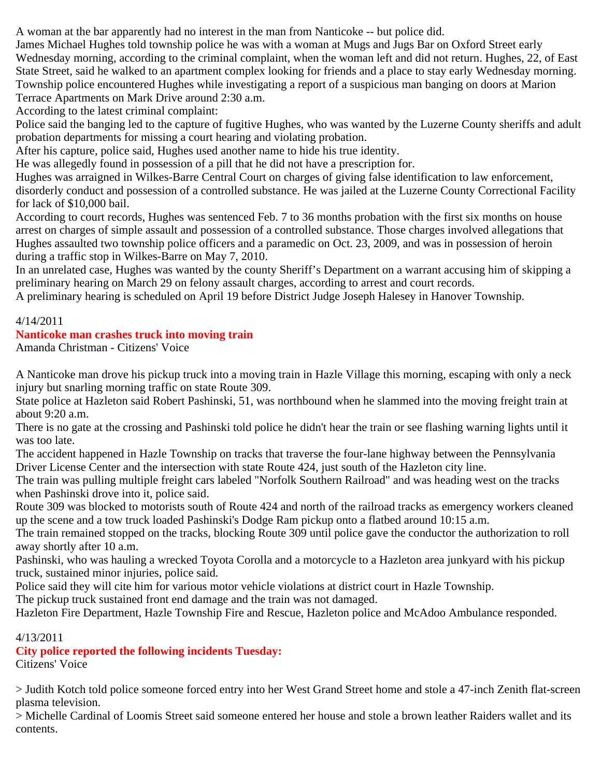A woman at the bar apparently had no interest in the man from Nanticoke -- but police did.

James Michael Hughes told township police he was with a woman at Mugs and Jugs Bar on Oxford Street early Wednesday morning, according to the criminal complaint, when the woman left and did not return. Hughes, 22, of East State Street, said he walked to an apartment complex looking for friends and a place to stay early Wednesday morning. Township police encountered Hughes while investigating a report of a suspicious man banging on doors at Marion Terrace Apartments on Mark Drive around 2:30 a.m.

According to the latest criminal complaint:

Police said the banging led to the capture of fugitive Hughes, who was wanted by the Luzerne County sheriffs and adult probation departments for missing a court hearing and violating probation.

After his capture, police said, Hughes used another name to hide his true identity.

He was allegedly found in possession of a pill that he did not have a prescription for.

Hughes was arraigned in Wilkes-Barre Central Court on charges of giving false identification to law enforcement, disorderly conduct and possession of a controlled substance. He was jailed at the Luzerne County Correctional Facility for lack of \$10,000 bail.

According to court records, Hughes was sentenced Feb. 7 to 36 months probation with the first six months on house arrest on charges of simple assault and possession of a controlled substance. Those charges involved allegations that Hughes assaulted two township police officers and a paramedic on Oct. 23, 2009, and was in possession of heroin during a traffic stop in Wilkes-Barre on May 7, 2010.

In an unrelated case, Hughes was wanted by the county Sheriff's Department on a warrant accusing him of skipping a preliminary hearing on March 29 on felony assault charges, according to arrest and court records.

A preliminary hearing is scheduled on April 19 before District Judge Joseph Halesey in Hanover Township.

## 4/14/2011

## **Nanticoke man crashes truck into moving train**

Amanda Christman - Citizens' Voice

A Nanticoke man drove his pickup truck into a moving train in Hazle Village this morning, escaping with only a neck injury but snarling morning traffic on state Route 309.

State police at Hazleton said Robert Pashinski, 51, was northbound when he slammed into the moving freight train at about 9:20 a.m.

There is no gate at the crossing and Pashinski told police he didn't hear the train or see flashing warning lights until it was too late.

The accident happened in Hazle Township on tracks that traverse the four-lane highway between the Pennsylvania Driver License Center and the intersection with state Route 424, just south of the Hazleton city line.

The train was pulling multiple freight cars labeled "Norfolk Southern Railroad" and was heading west on the tracks when Pashinski drove into it, police said.

Route 309 was blocked to motorists south of Route 424 and north of the railroad tracks as emergency workers cleaned up the scene and a tow truck loaded Pashinski's Dodge Ram pickup onto a flatbed around 10:15 a.m.

The train remained stopped on the tracks, blocking Route 309 until police gave the conductor the authorization to roll away shortly after 10 a.m.

Pashinski, who was hauling a wrecked Toyota Corolla and a motorcycle to a Hazleton area junkyard with his pickup truck, sustained minor injuries, police said.

Police said they will cite him for various motor vehicle violations at district court in Hazle Township.

The pickup truck sustained front end damage and the train was not damaged.

Hazleton Fire Department, Hazle Township Fire and Rescue, Hazleton police and McAdoo Ambulance responded.

### 4/13/2011

## **City police reported the following incidents Tuesday:**

Citizens' Voice

> Judith Kotch told police someone forced entry into her West Grand Street home and stole a 47-inch Zenith flat-screen plasma television.

> Michelle Cardinal of Loomis Street said someone entered her house and stole a brown leather Raiders wallet and its contents.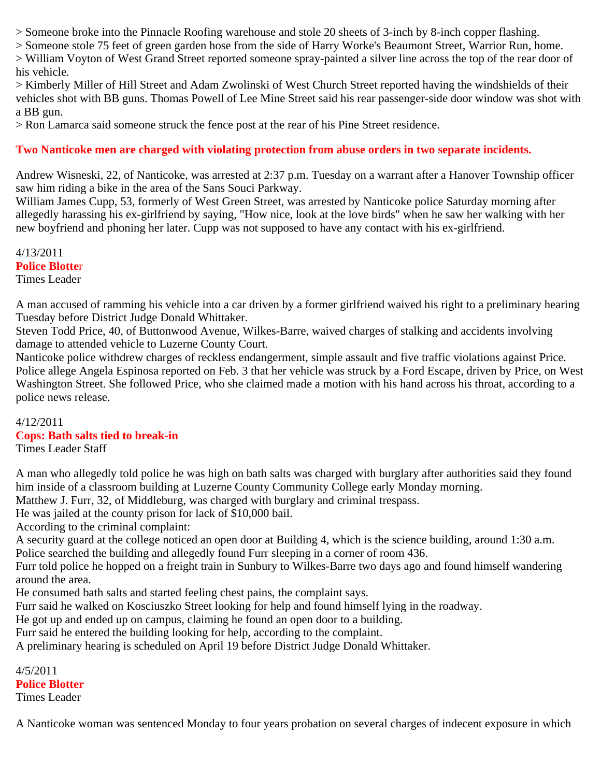> Someone broke into the Pinnacle Roofing warehouse and stole 20 sheets of 3-inch by 8-inch copper flashing.

> Someone stole 75 feet of green garden hose from the side of Harry Worke's Beaumont Street, Warrior Run, home.

> William Voyton of West Grand Street reported someone spray-painted a silver line across the top of the rear door of his vehicle.

> Kimberly Miller of Hill Street and Adam Zwolinski of West Church Street reported having the windshields of their vehicles shot with BB guns. Thomas Powell of Lee Mine Street said his rear passenger-side door window was shot with a BB gun.

> Ron Lamarca said someone struck the fence post at the rear of his Pine Street residence.

## **Two Nanticoke men are charged with violating protection from abuse orders in two separate incidents.**

Andrew Wisneski, 22, of Nanticoke, was arrested at 2:37 p.m. Tuesday on a warrant after a Hanover Township officer saw him riding a bike in the area of the Sans Souci Parkway.

William James Cupp, 53, formerly of West Green Street, was arrested by Nanticoke police Saturday morning after allegedly harassing his ex-girlfriend by saying, "How nice, look at the love birds" when he saw her walking with her new boyfriend and phoning her later. Cupp was not supposed to have any contact with his ex-girlfriend.

4/13/2011 **Police Blotte**r Times Leader

A man accused of ramming his vehicle into a car driven by a former girlfriend waived his right to a preliminary hearing Tuesday before District Judge Donald Whittaker.

Steven Todd Price, 40, of Buttonwood Avenue, Wilkes-Barre, waived charges of stalking and accidents involving damage to attended vehicle to Luzerne County Court.

Nanticoke police withdrew charges of reckless endangerment, simple assault and five traffic violations against Price. Police allege Angela Espinosa reported on Feb. 3 that her vehicle was struck by a Ford Escape, driven by Price, on West Washington Street. She followed Price, who she claimed made a motion with his hand across his throat, according to a police news release.

4/12/2011 **Cops: Bath salts tied to break-in** Times Leader Staff

A man who allegedly told police he was high on bath salts was charged with burglary after authorities said they found him inside of a classroom building at Luzerne County Community College early Monday morning.

Matthew J. Furr, 32, of Middleburg, was charged with burglary and criminal trespass.

He was jailed at the county prison for lack of \$10,000 bail.

According to the criminal complaint:

A security guard at the college noticed an open door at Building 4, which is the science building, around 1:30 a.m. Police searched the building and allegedly found Furr sleeping in a corner of room 436.

Furr told police he hopped on a freight train in Sunbury to Wilkes-Barre two days ago and found himself wandering around the area.

He consumed bath salts and started feeling chest pains, the complaint says.

Furr said he walked on Kosciuszko Street looking for help and found himself lying in the roadway.

He got up and ended up on campus, claiming he found an open door to a building.

Furr said he entered the building looking for help, according to the complaint.

A preliminary hearing is scheduled on April 19 before District Judge Donald Whittaker.

4/5/2011 **Police Blotter** Times Leader

A Nanticoke woman was sentenced Monday to four years probation on several charges of indecent exposure in which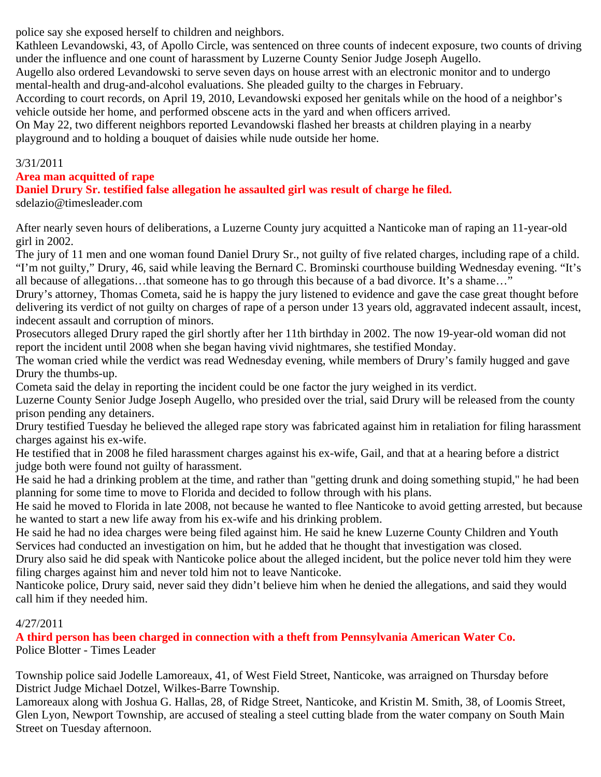police say she exposed herself to children and neighbors.

Kathleen Levandowski, 43, of Apollo Circle, was sentenced on three counts of indecent exposure, two counts of driving under the influence and one count of harassment by Luzerne County Senior Judge Joseph Augello.

Augello also ordered Levandowski to serve seven days on house arrest with an electronic monitor and to undergo mental-health and drug-and-alcohol evaluations. She pleaded guilty to the charges in February.

According to court records, on April 19, 2010, Levandowski exposed her genitals while on the hood of a neighbor's vehicle outside her home, and performed obscene acts in the yard and when officers arrived.

On May 22, two different neighbors reported Levandowski flashed her breasts at children playing in a nearby playground and to holding a bouquet of daisies while nude outside her home.

## 3/31/2011

## **Area man acquitted of rape**

**Daniel Drury Sr. testified false allegation he assaulted girl was result of charge he filed.** sdelazio@timesleader.com

After nearly seven hours of deliberations, a Luzerne County jury acquitted a Nanticoke man of raping an 11-year-old girl in 2002.

The jury of 11 men and one woman found Daniel Drury Sr., not guilty of five related charges, including rape of a child. "I'm not guilty," Drury, 46, said while leaving the Bernard C. Brominski courthouse building Wednesday evening. "It's all because of allegations…that someone has to go through this because of a bad divorce. It's a shame…"

Drury's attorney, Thomas Cometa, said he is happy the jury listened to evidence and gave the case great thought before delivering its verdict of not guilty on charges of rape of a person under 13 years old, aggravated indecent assault, incest, indecent assault and corruption of minors.

Prosecutors alleged Drury raped the girl shortly after her 11th birthday in 2002. The now 19-year-old woman did not report the incident until 2008 when she began having vivid nightmares, she testified Monday.

The woman cried while the verdict was read Wednesday evening, while members of Drury's family hugged and gave Drury the thumbs-up.

Cometa said the delay in reporting the incident could be one factor the jury weighed in its verdict.

Luzerne County Senior Judge Joseph Augello, who presided over the trial, said Drury will be released from the county prison pending any detainers.

Drury testified Tuesday he believed the alleged rape story was fabricated against him in retaliation for filing harassment charges against his ex-wife.

He testified that in 2008 he filed harassment charges against his ex-wife, Gail, and that at a hearing before a district judge both were found not guilty of harassment.

He said he had a drinking problem at the time, and rather than "getting drunk and doing something stupid," he had been planning for some time to move to Florida and decided to follow through with his plans.

He said he moved to Florida in late 2008, not because he wanted to flee Nanticoke to avoid getting arrested, but because he wanted to start a new life away from his ex-wife and his drinking problem.

He said he had no idea charges were being filed against him. He said he knew Luzerne County Children and Youth Services had conducted an investigation on him, but he added that he thought that investigation was closed.

Drury also said he did speak with Nanticoke police about the alleged incident, but the police never told him they were filing charges against him and never told him not to leave Nanticoke.

Nanticoke police, Drury said, never said they didn't believe him when he denied the allegations, and said they would call him if they needed him.

## 4/27/2011

**A third person has been charged in connection with a theft from Pennsylvania American Water Co.** Police Blotter - Times Leader

Township police said Jodelle Lamoreaux, 41, of West Field Street, Nanticoke, was arraigned on Thursday before District Judge Michael Dotzel, Wilkes-Barre Township.

Lamoreaux along with Joshua G. Hallas, 28, of Ridge Street, Nanticoke, and Kristin M. Smith, 38, of Loomis Street, Glen Lyon, Newport Township, are accused of stealing a steel cutting blade from the water company on South Main Street on Tuesday afternoon.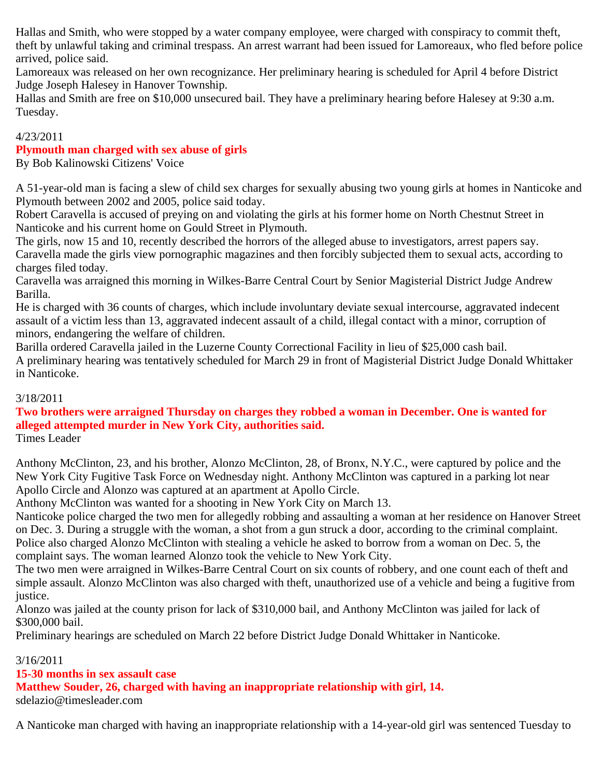Hallas and Smith, who were stopped by a water company employee, were charged with conspiracy to commit theft, theft by unlawful taking and criminal trespass. An arrest warrant had been issued for Lamoreaux, who fled before police arrived, police said.

Lamoreaux was released on her own recognizance. Her preliminary hearing is scheduled for April 4 before District Judge Joseph Halesey in Hanover Township.

Hallas and Smith are free on \$10,000 unsecured bail. They have a preliminary hearing before Halesey at 9:30 a.m. Tuesday.

## 4/23/2011

## **Plymouth man charged with sex abuse of girls**

By Bob Kalinowski Citizens' Voice

A 51-year-old man is facing a slew of child sex charges for sexually abusing two young girls at homes in Nanticoke and Plymouth between 2002 and 2005, police said today.

Robert Caravella is accused of preying on and violating the girls at his former home on North Chestnut Street in Nanticoke and his current home on Gould Street in Plymouth.

The girls, now 15 and 10, recently described the horrors of the alleged abuse to investigators, arrest papers say. Caravella made the girls view pornographic magazines and then forcibly subjected them to sexual acts, according to charges filed today.

Caravella was arraigned this morning in Wilkes-Barre Central Court by Senior Magisterial District Judge Andrew Barilla.

He is charged with 36 counts of charges, which include involuntary deviate sexual intercourse, aggravated indecent assault of a victim less than 13, aggravated indecent assault of a child, illegal contact with a minor, corruption of minors, endangering the welfare of children.

Barilla ordered Caravella jailed in the Luzerne County Correctional Facility in lieu of \$25,000 cash bail.

A preliminary hearing was tentatively scheduled for March 29 in front of Magisterial District Judge Donald Whittaker in Nanticoke.

## 3/18/2011

## **Two brothers were arraigned Thursday on charges they robbed a woman in December. One is wanted for alleged attempted murder in New York City, authorities said.**

Times Leader

Anthony McClinton, 23, and his brother, Alonzo McClinton, 28, of Bronx, N.Y.C., were captured by police and the New York City Fugitive Task Force on Wednesday night. Anthony McClinton was captured in a parking lot near Apollo Circle and Alonzo was captured at an apartment at Apollo Circle.

Anthony McClinton was wanted for a shooting in New York City on March 13.

Nanticoke police charged the two men for allegedly robbing and assaulting a woman at her residence on Hanover Street on Dec. 3. During a struggle with the woman, a shot from a gun struck a door, according to the criminal complaint. Police also charged Alonzo McClinton with stealing a vehicle he asked to borrow from a woman on Dec. 5, the complaint says. The woman learned Alonzo took the vehicle to New York City.

The two men were arraigned in Wilkes-Barre Central Court on six counts of robbery, and one count each of theft and simple assault. Alonzo McClinton was also charged with theft, unauthorized use of a vehicle and being a fugitive from justice.

Alonzo was jailed at the county prison for lack of \$310,000 bail, and Anthony McClinton was jailed for lack of \$300,000 bail.

Preliminary hearings are scheduled on March 22 before District Judge Donald Whittaker in Nanticoke.

## 3/16/2011

## **15-30 months in sex assault case**

**Matthew Souder, 26, charged with having an inappropriate relationship with girl, 14.**

sdelazio@timesleader.com

A Nanticoke man charged with having an inappropriate relationship with a 14-year-old girl was sentenced Tuesday to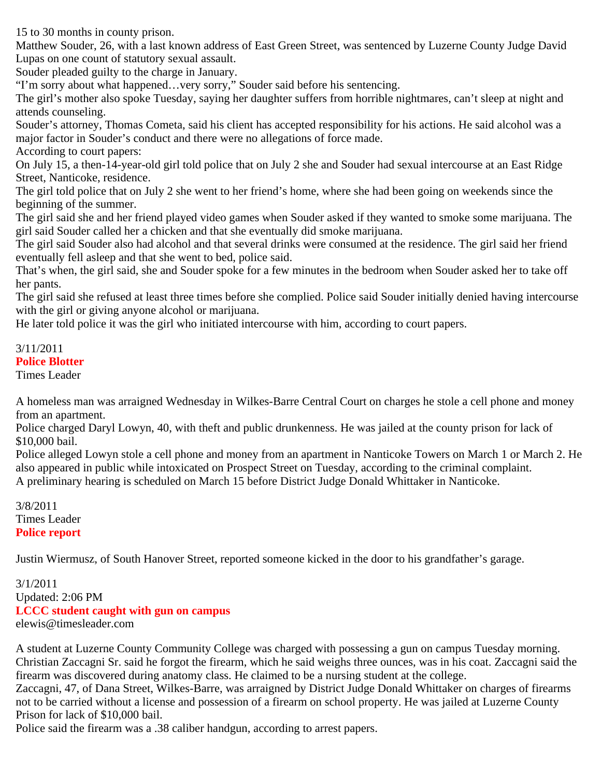15 to 30 months in county prison.

Matthew Souder, 26, with a last known address of East Green Street, was sentenced by Luzerne County Judge David Lupas on one count of statutory sexual assault.

Souder pleaded guilty to the charge in January.

"I'm sorry about what happened…very sorry," Souder said before his sentencing.

The girl's mother also spoke Tuesday, saying her daughter suffers from horrible nightmares, can't sleep at night and attends counseling.

Souder's attorney, Thomas Cometa, said his client has accepted responsibility for his actions. He said alcohol was a major factor in Souder's conduct and there were no allegations of force made. According to court papers:

On July 15, a then-14-year-old girl told police that on July 2 she and Souder had sexual intercourse at an East Ridge Street, Nanticoke, residence.

The girl told police that on July 2 she went to her friend's home, where she had been going on weekends since the beginning of the summer.

The girl said she and her friend played video games when Souder asked if they wanted to smoke some marijuana. The girl said Souder called her a chicken and that she eventually did smoke marijuana.

The girl said Souder also had alcohol and that several drinks were consumed at the residence. The girl said her friend eventually fell asleep and that she went to bed, police said.

That's when, the girl said, she and Souder spoke for a few minutes in the bedroom when Souder asked her to take off her pants.

The girl said she refused at least three times before she complied. Police said Souder initially denied having intercourse with the girl or giving anyone alcohol or marijuana.

He later told police it was the girl who initiated intercourse with him, according to court papers.

## 3/11/2011 **Police Blotter**

Times Leader

A homeless man was arraigned Wednesday in Wilkes-Barre Central Court on charges he stole a cell phone and money from an apartment.

Police charged Daryl Lowyn, 40, with theft and public drunkenness. He was jailed at the county prison for lack of \$10,000 bail.

Police alleged Lowyn stole a cell phone and money from an apartment in Nanticoke Towers on March 1 or March 2. He also appeared in public while intoxicated on Prospect Street on Tuesday, according to the criminal complaint. A preliminary hearing is scheduled on March 15 before District Judge Donald Whittaker in Nanticoke.

3/8/2011 Times Leader **Police report**

Justin Wiermusz, of South Hanover Street, reported someone kicked in the door to his grandfather's garage.

3/1/2011 Updated: 2:06 PM **LCCC student caught with gun on campus** elewis@timesleader.com

A student at Luzerne County Community College was charged with possessing a gun on campus Tuesday morning. Christian Zaccagni Sr. said he forgot the firearm, which he said weighs three ounces, was in his coat. Zaccagni said the firearm was discovered during anatomy class. He claimed to be a nursing student at the college.

Zaccagni, 47, of Dana Street, Wilkes-Barre, was arraigned by District Judge Donald Whittaker on charges of firearms not to be carried without a license and possession of a firearm on school property. He was jailed at Luzerne County Prison for lack of \$10,000 bail.

Police said the firearm was a .38 caliber handgun, according to arrest papers.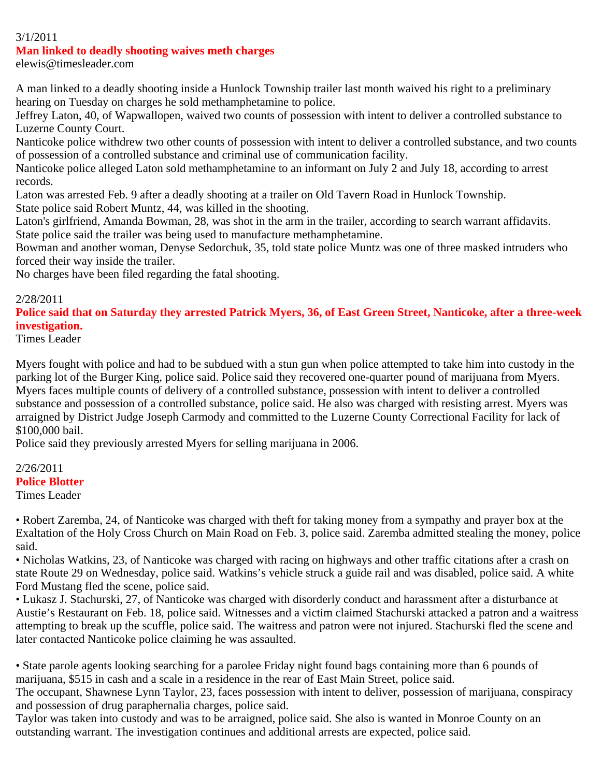#### 3/1/2011

#### **Man linked to deadly shooting waives meth charges**

elewis@timesleader.com

A man linked to a deadly shooting inside a Hunlock Township trailer last month waived his right to a preliminary hearing on Tuesday on charges he sold methamphetamine to police.

Jeffrey Laton, 40, of Wapwallopen, waived two counts of possession with intent to deliver a controlled substance to Luzerne County Court.

Nanticoke police withdrew two other counts of possession with intent to deliver a controlled substance, and two counts of possession of a controlled substance and criminal use of communication facility.

Nanticoke police alleged Laton sold methamphetamine to an informant on July 2 and July 18, according to arrest records.

Laton was arrested Feb. 9 after a deadly shooting at a trailer on Old Tavern Road in Hunlock Township. State police said Robert Muntz, 44, was killed in the shooting.

Laton's girlfriend, Amanda Bowman, 28, was shot in the arm in the trailer, according to search warrant affidavits. State police said the trailer was being used to manufacture methamphetamine.

Bowman and another woman, Denyse Sedorchuk, 35, told state police Muntz was one of three masked intruders who forced their way inside the trailer.

No charges have been filed regarding the fatal shooting.

#### 2/28/2011

**Police said that on Saturday they arrested Patrick Myers, 36, of East Green Street, Nanticoke, after a three-week investigation.**

Times Leader

Myers fought with police and had to be subdued with a stun gun when police attempted to take him into custody in the parking lot of the Burger King, police said. Police said they recovered one-quarter pound of marijuana from Myers. Myers faces multiple counts of delivery of a controlled substance, possession with intent to deliver a controlled substance and possession of a controlled substance, police said. He also was charged with resisting arrest. Myers was arraigned by District Judge Joseph Carmody and committed to the Luzerne County Correctional Facility for lack of \$100,000 bail.

Police said they previously arrested Myers for selling marijuana in 2006.

#### 2/26/2011 **Police Blotter** Times Leader

• Robert Zaremba, 24, of Nanticoke was charged with theft for taking money from a sympathy and prayer box at the Exaltation of the Holy Cross Church on Main Road on Feb. 3, police said. Zaremba admitted stealing the money, police said.

• Nicholas Watkins, 23, of Nanticoke was charged with racing on highways and other traffic citations after a crash on state Route 29 on Wednesday, police said. Watkins's vehicle struck a guide rail and was disabled, police said. A white Ford Mustang fled the scene, police said.

• Lukasz J. Stachurski, 27, of Nanticoke was charged with disorderly conduct and harassment after a disturbance at Austie's Restaurant on Feb. 18, police said. Witnesses and a victim claimed Stachurski attacked a patron and a waitress attempting to break up the scuffle, police said. The waitress and patron were not injured. Stachurski fled the scene and later contacted Nanticoke police claiming he was assaulted.

• State parole agents looking searching for a parolee Friday night found bags containing more than 6 pounds of marijuana, \$515 in cash and a scale in a residence in the rear of East Main Street, police said.

The occupant, Shawnese Lynn Taylor, 23, faces possession with intent to deliver, possession of marijuana, conspiracy and possession of drug paraphernalia charges, police said.

Taylor was taken into custody and was to be arraigned, police said. She also is wanted in Monroe County on an outstanding warrant. The investigation continues and additional arrests are expected, police said.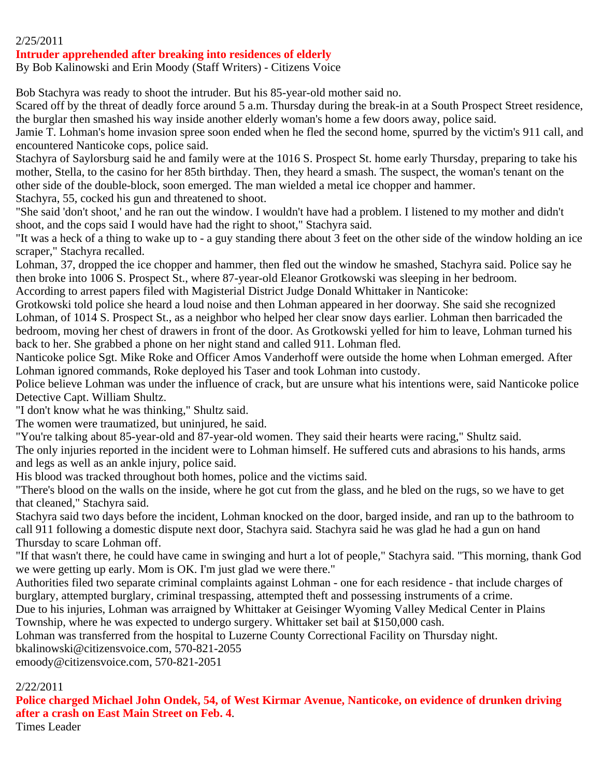#### 2/25/2011

#### **Intruder apprehended after breaking into residences of elderly**

By Bob Kalinowski and Erin Moody (Staff Writers) - Citizens Voice

Bob Stachyra was ready to shoot the intruder. But his 85-year-old mother said no.

Scared off by the threat of deadly force around 5 a.m. Thursday during the break-in at a South Prospect Street residence, the burglar then smashed his way inside another elderly woman's home a few doors away, police said.

Jamie T. Lohman's home invasion spree soon ended when he fled the second home, spurred by the victim's 911 call, and encountered Nanticoke cops, police said.

Stachyra of Saylorsburg said he and family were at the 1016 S. Prospect St. home early Thursday, preparing to take his mother, Stella, to the casino for her 85th birthday. Then, they heard a smash. The suspect, the woman's tenant on the other side of the double-block, soon emerged. The man wielded a metal ice chopper and hammer.

Stachyra, 55, cocked his gun and threatened to shoot.

"She said 'don't shoot,' and he ran out the window. I wouldn't have had a problem. I listened to my mother and didn't shoot, and the cops said I would have had the right to shoot," Stachyra said.

"It was a heck of a thing to wake up to - a guy standing there about 3 feet on the other side of the window holding an ice scraper," Stachyra recalled.

Lohman, 37, dropped the ice chopper and hammer, then fled out the window he smashed, Stachyra said. Police say he then broke into 1006 S. Prospect St., where 87-year-old Eleanor Grotkowski was sleeping in her bedroom.

According to arrest papers filed with Magisterial District Judge Donald Whittaker in Nanticoke:

Grotkowski told police she heard a loud noise and then Lohman appeared in her doorway. She said she recognized Lohman, of 1014 S. Prospect St., as a neighbor who helped her clear snow days earlier. Lohman then barricaded the bedroom, moving her chest of drawers in front of the door. As Grotkowski yelled for him to leave, Lohman turned his back to her. She grabbed a phone on her night stand and called 911. Lohman fled.

Nanticoke police Sgt. Mike Roke and Officer Amos Vanderhoff were outside the home when Lohman emerged. After Lohman ignored commands, Roke deployed his Taser and took Lohman into custody.

Police believe Lohman was under the influence of crack, but are unsure what his intentions were, said Nanticoke police Detective Capt. William Shultz.

"I don't know what he was thinking," Shultz said.

The women were traumatized, but uninjured, he said.

"You're talking about 85-year-old and 87-year-old women. They said their hearts were racing," Shultz said.

The only injuries reported in the incident were to Lohman himself. He suffered cuts and abrasions to his hands, arms and legs as well as an ankle injury, police said.

His blood was tracked throughout both homes, police and the victims said.

"There's blood on the walls on the inside, where he got cut from the glass, and he bled on the rugs, so we have to get that cleaned," Stachyra said.

Stachyra said two days before the incident, Lohman knocked on the door, barged inside, and ran up to the bathroom to call 911 following a domestic dispute next door, Stachyra said. Stachyra said he was glad he had a gun on hand Thursday to scare Lohman off.

"If that wasn't there, he could have came in swinging and hurt a lot of people," Stachyra said. "This morning, thank God we were getting up early. Mom is OK. I'm just glad we were there."

Authorities filed two separate criminal complaints against Lohman - one for each residence - that include charges of burglary, attempted burglary, criminal trespassing, attempted theft and possessing instruments of a crime.

Due to his injuries, Lohman was arraigned by Whittaker at Geisinger Wyoming Valley Medical Center in Plains Township, where he was expected to undergo surgery. Whittaker set bail at \$150,000 cash.

Lohman was transferred from the hospital to Luzerne County Correctional Facility on Thursday night.

bkalinowski@citizensvoice.com, 570-821-2055

emoody@citizensvoice.com, 570-821-2051

#### 2/22/2011

**Police charged Michael John Ondek, 54, of West Kirmar Avenue, Nanticoke, on evidence of drunken driving after a crash on East Main Street on Feb. 4**.

Times Leader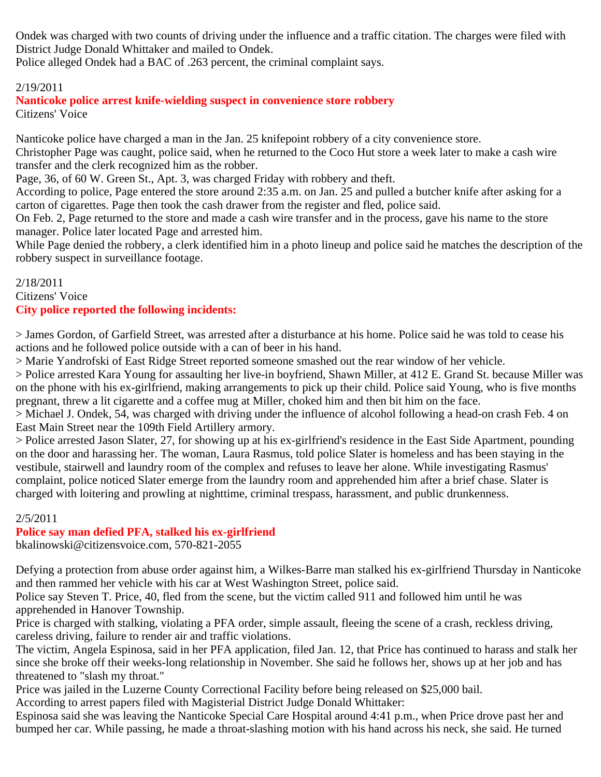Ondek was charged with two counts of driving under the influence and a traffic citation. The charges were filed with District Judge Donald Whittaker and mailed to Ondek.

Police alleged Ondek had a BAC of .263 percent, the criminal complaint says.

### 2/19/2011

**Nanticoke police arrest knife-wielding suspect in convenience store robbery** Citizens' Voice

Nanticoke police have charged a man in the Jan. 25 knifepoint robbery of a city convenience store. Christopher Page was caught, police said, when he returned to the Coco Hut store a week later to make a cash wire transfer and the clerk recognized him as the robber.

Page, 36, of 60 W. Green St., Apt. 3, was charged Friday with robbery and theft.

According to police, Page entered the store around 2:35 a.m. on Jan. 25 and pulled a butcher knife after asking for a carton of cigarettes. Page then took the cash drawer from the register and fled, police said.

On Feb. 2, Page returned to the store and made a cash wire transfer and in the process, gave his name to the store manager. Police later located Page and arrested him.

While Page denied the robbery, a clerk identified him in a photo lineup and police said he matches the description of the robbery suspect in surveillance footage.

2/18/2011 Citizens' Voice **City police reported the following incidents:**

> James Gordon, of Garfield Street, was arrested after a disturbance at his home. Police said he was told to cease his actions and he followed police outside with a can of beer in his hand.

> Marie Yandrofski of East Ridge Street reported someone smashed out the rear window of her vehicle.

> Police arrested Kara Young for assaulting her live-in boyfriend, Shawn Miller, at 412 E. Grand St. because Miller was on the phone with his ex-girlfriend, making arrangements to pick up their child. Police said Young, who is five months pregnant, threw a lit cigarette and a coffee mug at Miller, choked him and then bit him on the face.

> Michael J. Ondek, 54, was charged with driving under the influence of alcohol following a head-on crash Feb. 4 on East Main Street near the 109th Field Artillery armory.

> Police arrested Jason Slater, 27, for showing up at his ex-girlfriend's residence in the East Side Apartment, pounding on the door and harassing her. The woman, Laura Rasmus, told police Slater is homeless and has been staying in the vestibule, stairwell and laundry room of the complex and refuses to leave her alone. While investigating Rasmus' complaint, police noticed Slater emerge from the laundry room and apprehended him after a brief chase. Slater is charged with loitering and prowling at nighttime, criminal trespass, harassment, and public drunkenness.

#### 2/5/2011

### **Police say man defied PFA, stalked his ex-girlfriend**

bkalinowski@citizensvoice.com, 570-821-2055

Defying a protection from abuse order against him, a Wilkes-Barre man stalked his ex-girlfriend Thursday in Nanticoke and then rammed her vehicle with his car at West Washington Street, police said.

Police say Steven T. Price, 40, fled from the scene, but the victim called 911 and followed him until he was apprehended in Hanover Township.

Price is charged with stalking, violating a PFA order, simple assault, fleeing the scene of a crash, reckless driving, careless driving, failure to render air and traffic violations.

The victim, Angela Espinosa, said in her PFA application, filed Jan. 12, that Price has continued to harass and stalk her since she broke off their weeks-long relationship in November. She said he follows her, shows up at her job and has threatened to "slash my throat."

Price was jailed in the Luzerne County Correctional Facility before being released on \$25,000 bail.

According to arrest papers filed with Magisterial District Judge Donald Whittaker:

Espinosa said she was leaving the Nanticoke Special Care Hospital around 4:41 p.m., when Price drove past her and bumped her car. While passing, he made a throat-slashing motion with his hand across his neck, she said. He turned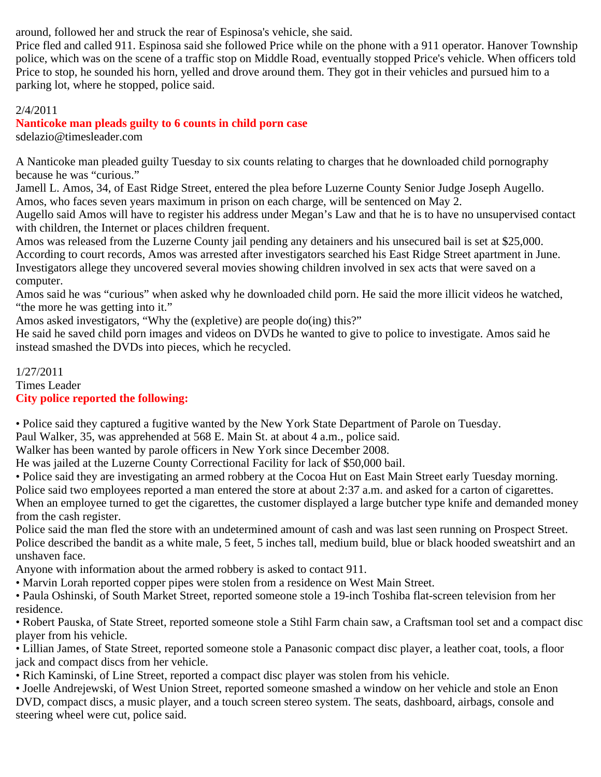around, followed her and struck the rear of Espinosa's vehicle, she said.

Price fled and called 911. Espinosa said she followed Price while on the phone with a 911 operator. Hanover Township police, which was on the scene of a traffic stop on Middle Road, eventually stopped Price's vehicle. When officers told Price to stop, he sounded his horn, yelled and drove around them. They got in their vehicles and pursued him to a parking lot, where he stopped, police said.

## 2/4/2011

**Nanticoke man pleads guilty to 6 counts in child porn case** sdelazio@timesleader.com

A Nanticoke man pleaded guilty Tuesday to six counts relating to charges that he downloaded child pornography because he was "curious."

Jamell L. Amos, 34, of East Ridge Street, entered the plea before Luzerne County Senior Judge Joseph Augello. Amos, who faces seven years maximum in prison on each charge, will be sentenced on May 2.

Augello said Amos will have to register his address under Megan's Law and that he is to have no unsupervised contact with children, the Internet or places children frequent.

Amos was released from the Luzerne County jail pending any detainers and his unsecured bail is set at \$25,000. According to court records, Amos was arrested after investigators searched his East Ridge Street apartment in June. Investigators allege they uncovered several movies showing children involved in sex acts that were saved on a computer.

Amos said he was "curious" when asked why he downloaded child porn. He said the more illicit videos he watched, "the more he was getting into it."

Amos asked investigators, "Why the (expletive) are people do(ing) this?"

He said he saved child porn images and videos on DVDs he wanted to give to police to investigate. Amos said he instead smashed the DVDs into pieces, which he recycled.

### 1/27/2011 Times Leader **City police reported the following:**

• Police said they captured a fugitive wanted by the New York State Department of Parole on Tuesday.

Paul Walker, 35, was apprehended at 568 E. Main St. at about 4 a.m., police said.

Walker has been wanted by parole officers in New York since December 2008.

He was jailed at the Luzerne County Correctional Facility for lack of \$50,000 bail.

• Police said they are investigating an armed robbery at the Cocoa Hut on East Main Street early Tuesday morning. Police said two employees reported a man entered the store at about 2:37 a.m. and asked for a carton of cigarettes. When an employee turned to get the cigarettes, the customer displayed a large butcher type knife and demanded money from the cash register.

Police said the man fled the store with an undetermined amount of cash and was last seen running on Prospect Street. Police described the bandit as a white male, 5 feet, 5 inches tall, medium build, blue or black hooded sweatshirt and an unshaven face.

Anyone with information about the armed robbery is asked to contact 911.

- Marvin Lorah reported copper pipes were stolen from a residence on West Main Street.
- Paula Oshinski, of South Market Street, reported someone stole a 19-inch Toshiba flat-screen television from her residence.

• Robert Pauska, of State Street, reported someone stole a Stihl Farm chain saw, a Craftsman tool set and a compact disc player from his vehicle.

• Lillian James, of State Street, reported someone stole a Panasonic compact disc player, a leather coat, tools, a floor jack and compact discs from her vehicle.

• Rich Kaminski, of Line Street, reported a compact disc player was stolen from his vehicle.

• Joelle Andrejewski, of West Union Street, reported someone smashed a window on her vehicle and stole an Enon DVD, compact discs, a music player, and a touch screen stereo system. The seats, dashboard, airbags, console and steering wheel were cut, police said.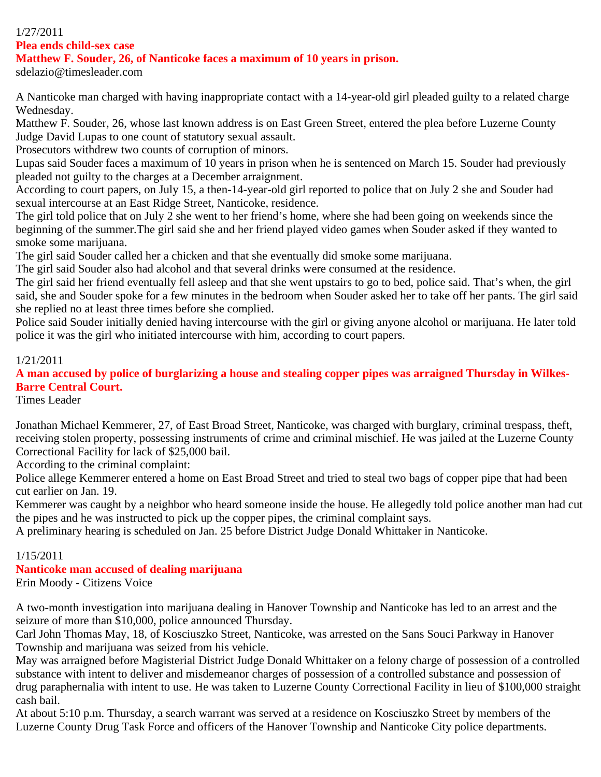## 1/27/2011

**Plea ends child-sex case**

#### **Matthew F. Souder, 26, of Nanticoke faces a maximum of 10 years in prison.**

sdelazio@timesleader.com

A Nanticoke man charged with having inappropriate contact with a 14-year-old girl pleaded guilty to a related charge Wednesday.

Matthew F. Souder, 26, whose last known address is on East Green Street, entered the plea before Luzerne County Judge David Lupas to one count of statutory sexual assault.

Prosecutors withdrew two counts of corruption of minors.

Lupas said Souder faces a maximum of 10 years in prison when he is sentenced on March 15. Souder had previously pleaded not guilty to the charges at a December arraignment.

According to court papers, on July 15, a then-14-year-old girl reported to police that on July 2 she and Souder had sexual intercourse at an East Ridge Street, Nanticoke, residence.

The girl told police that on July 2 she went to her friend's home, where she had been going on weekends since the beginning of the summer.The girl said she and her friend played video games when Souder asked if they wanted to smoke some marijuana.

The girl said Souder called her a chicken and that she eventually did smoke some marijuana.

The girl said Souder also had alcohol and that several drinks were consumed at the residence.

The girl said her friend eventually fell asleep and that she went upstairs to go to bed, police said. That's when, the girl said, she and Souder spoke for a few minutes in the bedroom when Souder asked her to take off her pants. The girl said she replied no at least three times before she complied.

Police said Souder initially denied having intercourse with the girl or giving anyone alcohol or marijuana. He later told police it was the girl who initiated intercourse with him, according to court papers.

#### 1/21/2011

**A man accused by police of burglarizing a house and stealing copper pipes was arraigned Thursday in Wilkes-Barre Central Court.**

Times Leader

Jonathan Michael Kemmerer, 27, of East Broad Street, Nanticoke, was charged with burglary, criminal trespass, theft, receiving stolen property, possessing instruments of crime and criminal mischief. He was jailed at the Luzerne County Correctional Facility for lack of \$25,000 bail.

According to the criminal complaint:

Police allege Kemmerer entered a home on East Broad Street and tried to steal two bags of copper pipe that had been cut earlier on Jan. 19.

Kemmerer was caught by a neighbor who heard someone inside the house. He allegedly told police another man had cut the pipes and he was instructed to pick up the copper pipes, the criminal complaint says.

A preliminary hearing is scheduled on Jan. 25 before District Judge Donald Whittaker in Nanticoke.

### 1/15/2011

# **Nanticoke man accused of dealing marijuana**

Erin Moody - Citizens Voice

A two-month investigation into marijuana dealing in Hanover Township and Nanticoke has led to an arrest and the seizure of more than \$10,000, police announced Thursday.

Carl John Thomas May, 18, of Kosciuszko Street, Nanticoke, was arrested on the Sans Souci Parkway in Hanover Township and marijuana was seized from his vehicle.

May was arraigned before Magisterial District Judge Donald Whittaker on a felony charge of possession of a controlled substance with intent to deliver and misdemeanor charges of possession of a controlled substance and possession of drug paraphernalia with intent to use. He was taken to Luzerne County Correctional Facility in lieu of \$100,000 straight cash bail.

At about 5:10 p.m. Thursday, a search warrant was served at a residence on Kosciuszko Street by members of the Luzerne County Drug Task Force and officers of the Hanover Township and Nanticoke City police departments.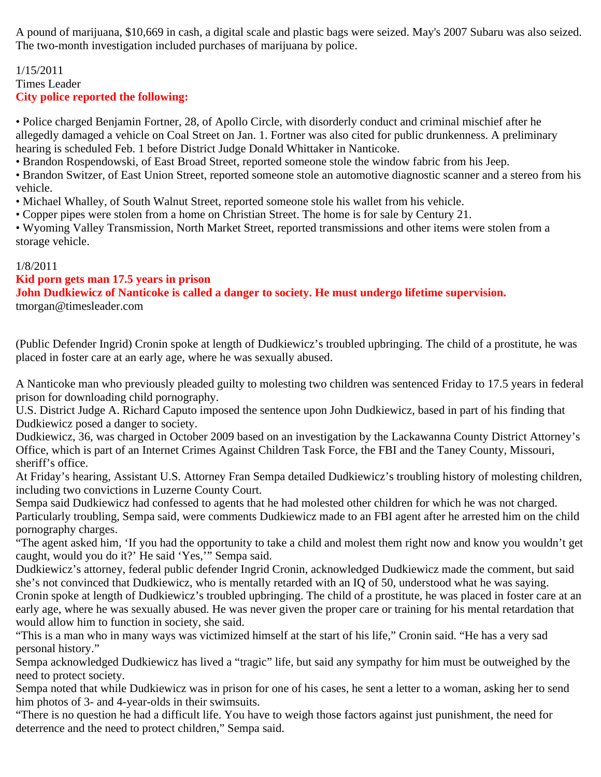A pound of marijuana, \$10,669 in cash, a digital scale and plastic bags were seized. May's 2007 Subaru was also seized. The two-month investigation included purchases of marijuana by police.

## 1/15/2011 Times Leader **City police reported the following:**

• Police charged Benjamin Fortner, 28, of Apollo Circle, with disorderly conduct and criminal mischief after he allegedly damaged a vehicle on Coal Street on Jan. 1. Fortner was also cited for public drunkenness. A preliminary hearing is scheduled Feb. 1 before District Judge Donald Whittaker in Nanticoke.

• Brandon Rospendowski, of East Broad Street, reported someone stole the window fabric from his Jeep.

• Brandon Switzer, of East Union Street, reported someone stole an automotive diagnostic scanner and a stereo from his vehicle.

• Michael Whalley, of South Walnut Street, reported someone stole his wallet from his vehicle.

• Copper pipes were stolen from a home on Christian Street. The home is for sale by Century 21.

• Wyoming Valley Transmission, North Market Street, reported transmissions and other items were stolen from a storage vehicle.

## 1/8/2011

## **Kid porn gets man 17.5 years in prison**

**John Dudkiewicz of Nanticoke is called a danger to society. He must undergo lifetime supervision.** tmorgan@timesleader.com

(Public Defender Ingrid) Cronin spoke at length of Dudkiewicz's troubled upbringing. The child of a prostitute, he was placed in foster care at an early age, where he was sexually abused.

A Nanticoke man who previously pleaded guilty to molesting two children was sentenced Friday to 17.5 years in federal prison for downloading child pornography.

U.S. District Judge A. Richard Caputo imposed the sentence upon John Dudkiewicz, based in part of his finding that Dudkiewicz posed a danger to society.

Dudkiewicz, 36, was charged in October 2009 based on an investigation by the Lackawanna County District Attorney's Office, which is part of an Internet Crimes Against Children Task Force, the FBI and the Taney County, Missouri, sheriff's office.

At Friday's hearing, Assistant U.S. Attorney Fran Sempa detailed Dudkiewicz's troubling history of molesting children, including two convictions in Luzerne County Court.

Sempa said Dudkiewicz had confessed to agents that he had molested other children for which he was not charged. Particularly troubling, Sempa said, were comments Dudkiewicz made to an FBI agent after he arrested him on the child pornography charges.

"The agent asked him, 'If you had the opportunity to take a child and molest them right now and know you wouldn't get caught, would you do it?' He said 'Yes,'" Sempa said.

Dudkiewicz's attorney, federal public defender Ingrid Cronin, acknowledged Dudkiewicz made the comment, but said she's not convinced that Dudkiewicz, who is mentally retarded with an IQ of 50, understood what he was saying. Cronin spoke at length of Dudkiewicz's troubled upbringing. The child of a prostitute, he was placed in foster care at an early age, where he was sexually abused. He was never given the proper care or training for his mental retardation that would allow him to function in society, she said.

"This is a man who in many ways was victimized himself at the start of his life," Cronin said. "He has a very sad personal history."

Sempa acknowledged Dudkiewicz has lived a "tragic" life, but said any sympathy for him must be outweighed by the need to protect society.

Sempa noted that while Dudkiewicz was in prison for one of his cases, he sent a letter to a woman, asking her to send him photos of 3- and 4-year-olds in their swimsuits.

"There is no question he had a difficult life. You have to weigh those factors against just punishment, the need for deterrence and the need to protect children," Sempa said.